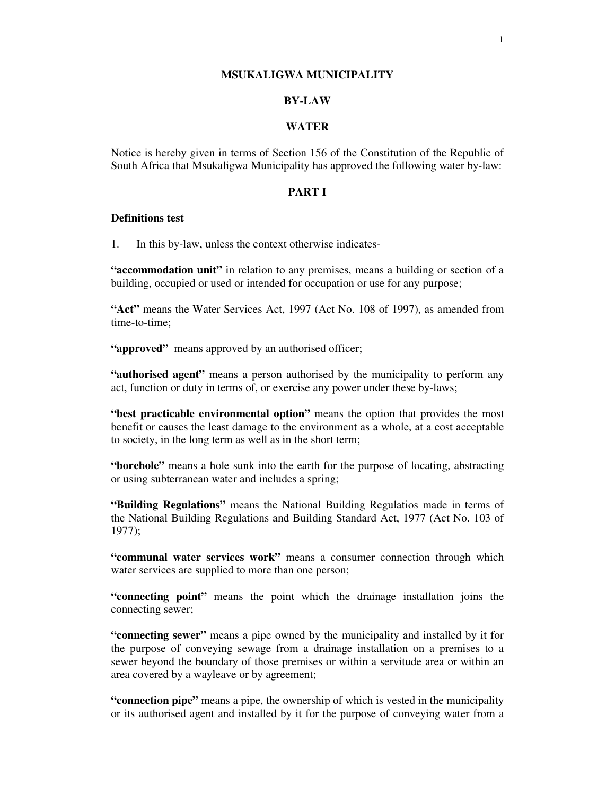#### **MSUKALIGWA MUNICIPALITY**

## **BY-LAW**

## **WATER**

Notice is hereby given in terms of Section 156 of the Constitution of the Republic of South Africa that Msukaligwa Municipality has approved the following water by-law:

## **PART I**

## **Definitions test**

1. In this by-law, unless the context otherwise indicates-

**"accommodation unit"** in relation to any premises, means a building or section of a building, occupied or used or intended for occupation or use for any purpose;

**"Act"** means the Water Services Act, 1997 (Act No. 108 of 1997), as amended from time-to-time;

"**approved**" means approved by an authorised officer;

**"authorised agent"** means a person authorised by the municipality to perform any act, function or duty in terms of, or exercise any power under these by-laws;

**"best practicable environmental option"** means the option that provides the most benefit or causes the least damage to the environment as a whole, at a cost acceptable to society, in the long term as well as in the short term;

**"borehole"** means a hole sunk into the earth for the purpose of locating, abstracting or using subterranean water and includes a spring;

**"Building Regulations"** means the National Building Regulatios made in terms of the National Building Regulations and Building Standard Act, 1977 (Act No. 103 of 1977);

**"communal water services work"** means a consumer connection through which water services are supplied to more than one person;

**"connecting point"** means the point which the drainage installation joins the connecting sewer;

**"connecting sewer"** means a pipe owned by the municipality and installed by it for the purpose of conveying sewage from a drainage installation on a premises to a sewer beyond the boundary of those premises or within a servitude area or within an area covered by a wayleave or by agreement;

**"connection pipe"** means a pipe, the ownership of which is vested in the municipality or its authorised agent and installed by it for the purpose of conveying water from a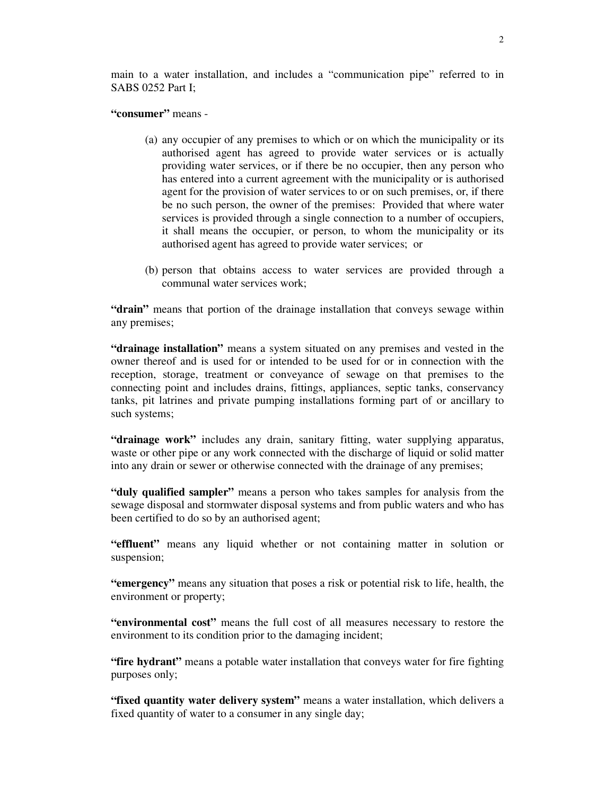main to a water installation, and includes a "communication pipe" referred to in SABS 0252 Part I;

#### **"consumer"** means -

- (a) any occupier of any premises to which or on which the municipality or its authorised agent has agreed to provide water services or is actually providing water services, or if there be no occupier, then any person who has entered into a current agreement with the municipality or is authorised agent for the provision of water services to or on such premises, or, if there be no such person, the owner of the premises: Provided that where water services is provided through a single connection to a number of occupiers, it shall means the occupier, or person, to whom the municipality or its authorised agent has agreed to provide water services; or
- (b) person that obtains access to water services are provided through a communal water services work;

**"drain"** means that portion of the drainage installation that conveys sewage within any premises;

**"drainage installation"** means a system situated on any premises and vested in the owner thereof and is used for or intended to be used for or in connection with the reception, storage, treatment or conveyance of sewage on that premises to the connecting point and includes drains, fittings, appliances, septic tanks, conservancy tanks, pit latrines and private pumping installations forming part of or ancillary to such systems;

**"drainage work"** includes any drain, sanitary fitting, water supplying apparatus, waste or other pipe or any work connected with the discharge of liquid or solid matter into any drain or sewer or otherwise connected with the drainage of any premises;

**"duly qualified sampler"** means a person who takes samples for analysis from the sewage disposal and stormwater disposal systems and from public waters and who has been certified to do so by an authorised agent;

**"effluent"** means any liquid whether or not containing matter in solution or suspension;

**"emergency"** means any situation that poses a risk or potential risk to life, health, the environment or property;

**"environmental cost"** means the full cost of all measures necessary to restore the environment to its condition prior to the damaging incident;

**"fire hydrant"** means a potable water installation that conveys water for fire fighting purposes only;

**"fixed quantity water delivery system"** means a water installation, which delivers a fixed quantity of water to a consumer in any single day;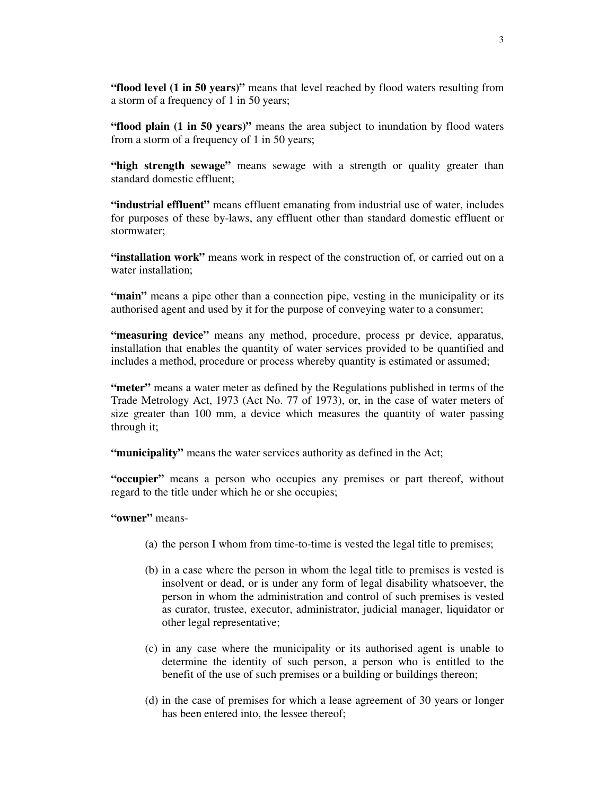**"flood level (1 in 50 years)"** means that level reached by flood waters resulting from a storm of a frequency of 1 in 50 years;

**"flood plain (1 in 50 years)"** means the area subject to inundation by flood waters from a storm of a frequency of 1 in 50 years;

**"high strength sewage"** means sewage with a strength or quality greater than standard domestic effluent;

**"industrial effluent"** means effluent emanating from industrial use of water, includes for purposes of these by-laws, any effluent other than standard domestic effluent or stormwater;

**"installation work"** means work in respect of the construction of, or carried out on a water installation;

**"main"** means a pipe other than a connection pipe, vesting in the municipality or its authorised agent and used by it for the purpose of conveying water to a consumer;

**"measuring device"** means any method, procedure, process pr device, apparatus, installation that enables the quantity of water services provided to be quantified and includes a method, procedure or process whereby quantity is estimated or assumed;

**"meter"** means a water meter as defined by the Regulations published in terms of the Trade Metrology Act, 1973 (Act No. 77 of 1973), or, in the case of water meters of size greater than 100 mm, a device which measures the quantity of water passing through it;

**"municipality"** means the water services authority as defined in the Act;

**"occupier"** means a person who occupies any premises or part thereof, without regard to the title under which he or she occupies;

**"owner"** means-

- (a) the person I whom from time-to-time is vested the legal title to premises;
- (b) in a case where the person in whom the legal title to premises is vested is insolvent or dead, or is under any form of legal disability whatsoever, the person in whom the administration and control of such premises is vested as curator, trustee, executor, administrator, judicial manager, liquidator or other legal representative;
- (c) in any case where the municipality or its authorised agent is unable to determine the identity of such person, a person who is entitled to the benefit of the use of such premises or a building or buildings thereon;
- (d) in the case of premises for which a lease agreement of 30 years or longer has been entered into, the lessee thereof;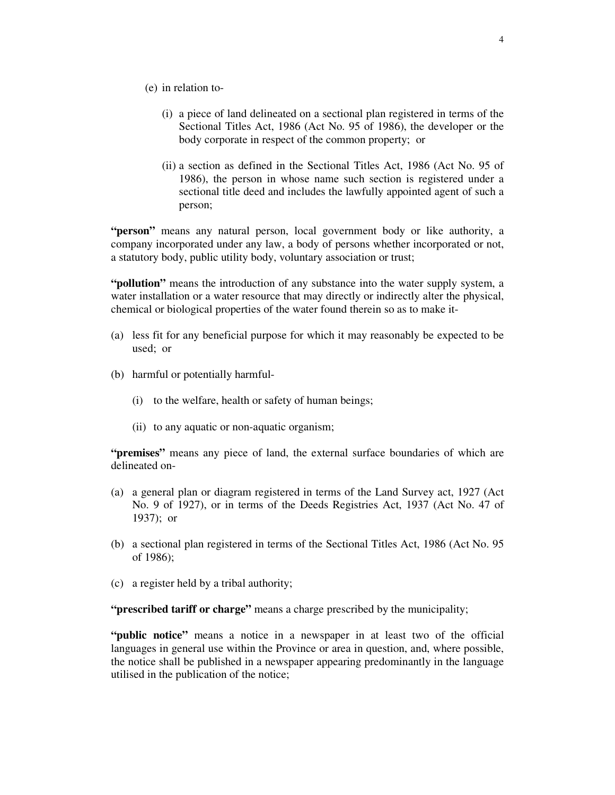- (e) in relation to-
	- (i) a piece of land delineated on a sectional plan registered in terms of the Sectional Titles Act, 1986 (Act No. 95 of 1986), the developer or the body corporate in respect of the common property; or
	- (ii) a section as defined in the Sectional Titles Act, 1986 (Act No. 95 of 1986), the person in whose name such section is registered under a sectional title deed and includes the lawfully appointed agent of such a person;

**"person"** means any natural person, local government body or like authority, a company incorporated under any law, a body of persons whether incorporated or not, a statutory body, public utility body, voluntary association or trust;

**"pollution"** means the introduction of any substance into the water supply system, a water installation or a water resource that may directly or indirectly alter the physical, chemical or biological properties of the water found therein so as to make it-

- (a) less fit for any beneficial purpose for which it may reasonably be expected to be used; or
- (b) harmful or potentially harmful-
	- (i) to the welfare, health or safety of human beings;
	- (ii) to any aquatic or non-aquatic organism;

**"premises"** means any piece of land, the external surface boundaries of which are delineated on-

- (a) a general plan or diagram registered in terms of the Land Survey act, 1927 (Act No. 9 of 1927), or in terms of the Deeds Registries Act, 1937 (Act No. 47 of 1937); or
- (b) a sectional plan registered in terms of the Sectional Titles Act, 1986 (Act No. 95 of 1986);
- (c) a register held by a tribal authority;

**"prescribed tariff or charge"** means a charge prescribed by the municipality;

**"public notice"** means a notice in a newspaper in at least two of the official languages in general use within the Province or area in question, and, where possible, the notice shall be published in a newspaper appearing predominantly in the language utilised in the publication of the notice;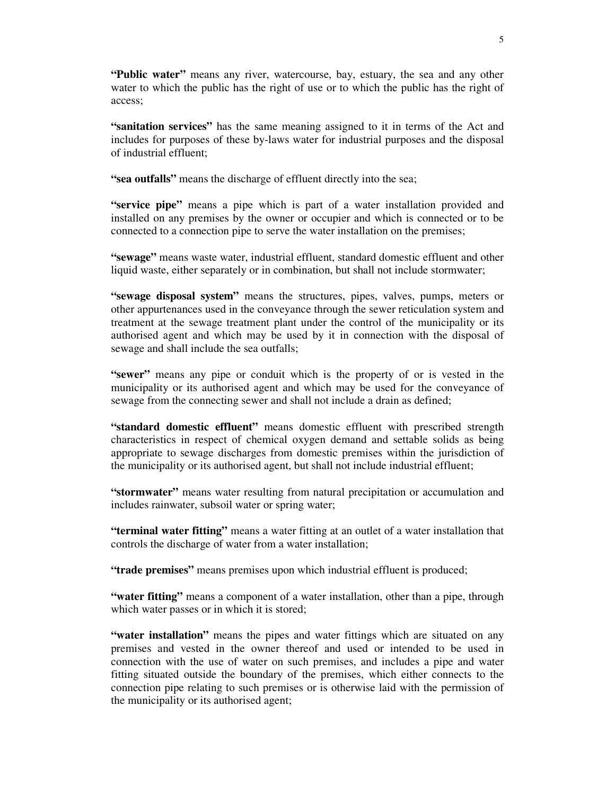**"Public water"** means any river, watercourse, bay, estuary, the sea and any other water to which the public has the right of use or to which the public has the right of access;

**"sanitation services"** has the same meaning assigned to it in terms of the Act and includes for purposes of these by-laws water for industrial purposes and the disposal of industrial effluent;

**"sea outfalls"** means the discharge of effluent directly into the sea;

**"service pipe"** means a pipe which is part of a water installation provided and installed on any premises by the owner or occupier and which is connected or to be connected to a connection pipe to serve the water installation on the premises;

**"sewage"** means waste water, industrial effluent, standard domestic effluent and other liquid waste, either separately or in combination, but shall not include stormwater;

**"sewage disposal system"** means the structures, pipes, valves, pumps, meters or other appurtenances used in the conveyance through the sewer reticulation system and treatment at the sewage treatment plant under the control of the municipality or its authorised agent and which may be used by it in connection with the disposal of sewage and shall include the sea outfalls;

**"sewer"** means any pipe or conduit which is the property of or is vested in the municipality or its authorised agent and which may be used for the conveyance of sewage from the connecting sewer and shall not include a drain as defined;

**"standard domestic effluent"** means domestic effluent with prescribed strength characteristics in respect of chemical oxygen demand and settable solids as being appropriate to sewage discharges from domestic premises within the jurisdiction of the municipality or its authorised agent, but shall not include industrial effluent;

**"stormwater"** means water resulting from natural precipitation or accumulation and includes rainwater, subsoil water or spring water;

**"terminal water fitting"** means a water fitting at an outlet of a water installation that controls the discharge of water from a water installation;

**"trade premises"** means premises upon which industrial effluent is produced;

**"water fitting"** means a component of a water installation, other than a pipe, through which water passes or in which it is stored;

**"water installation"** means the pipes and water fittings which are situated on any premises and vested in the owner thereof and used or intended to be used in connection with the use of water on such premises, and includes a pipe and water fitting situated outside the boundary of the premises, which either connects to the connection pipe relating to such premises or is otherwise laid with the permission of the municipality or its authorised agent;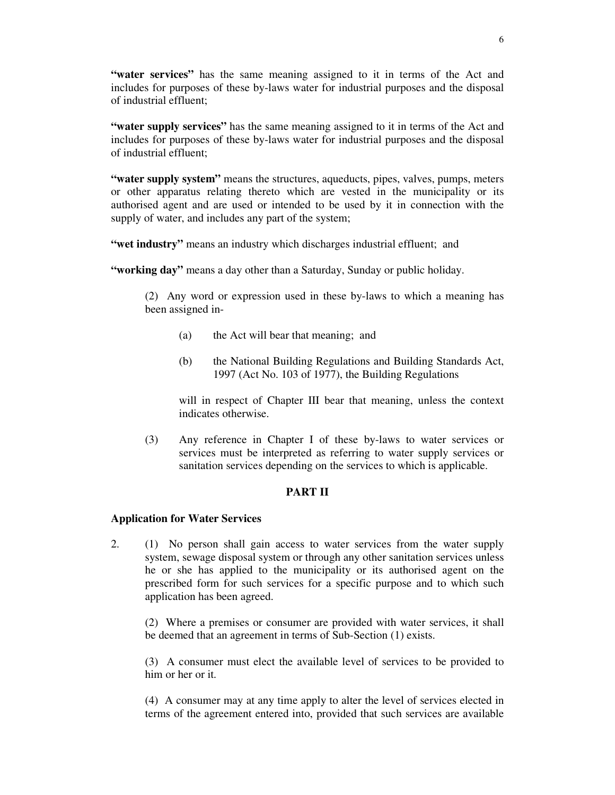**"water services"** has the same meaning assigned to it in terms of the Act and includes for purposes of these by-laws water for industrial purposes and the disposal of industrial effluent;

**"water supply services"** has the same meaning assigned to it in terms of the Act and includes for purposes of these by-laws water for industrial purposes and the disposal of industrial effluent;

**"water supply system"** means the structures, aqueducts, pipes, valves, pumps, meters or other apparatus relating thereto which are vested in the municipality or its authorised agent and are used or intended to be used by it in connection with the supply of water, and includes any part of the system;

**"wet industry"** means an industry which discharges industrial effluent; and

**"working day"** means a day other than a Saturday, Sunday or public holiday.

(2) Any word or expression used in these by-laws to which a meaning has been assigned in-

- (a) the Act will bear that meaning; and
- (b) the National Building Regulations and Building Standards Act, 1997 (Act No. 103 of 1977), the Building Regulations

will in respect of Chapter III bear that meaning, unless the context indicates otherwise.

(3) Any reference in Chapter I of these by-laws to water services or services must be interpreted as referring to water supply services or sanitation services depending on the services to which is applicable.

### **PART II**

### **Application for Water Services**

2. (1) No person shall gain access to water services from the water supply system, sewage disposal system or through any other sanitation services unless he or she has applied to the municipality or its authorised agent on the prescribed form for such services for a specific purpose and to which such application has been agreed.

(2) Where a premises or consumer are provided with water services, it shall be deemed that an agreement in terms of Sub-Section (1) exists.

(3) A consumer must elect the available level of services to be provided to him or her or it.

(4) A consumer may at any time apply to alter the level of services elected in terms of the agreement entered into, provided that such services are available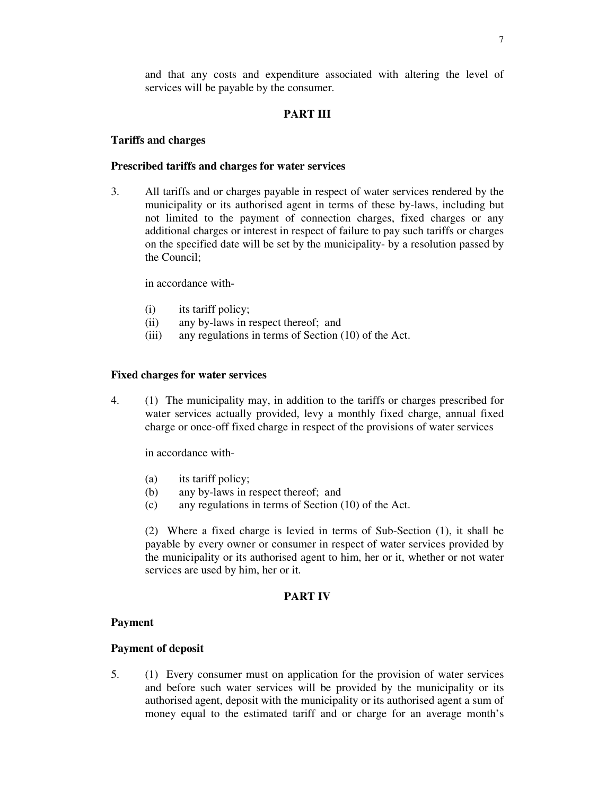and that any costs and expenditure associated with altering the level of services will be payable by the consumer.

## **PART III**

#### **Tariffs and charges**

### **Prescribed tariffs and charges for water services**

3. All tariffs and or charges payable in respect of water services rendered by the municipality or its authorised agent in terms of these by-laws, including but not limited to the payment of connection charges, fixed charges or any additional charges or interest in respect of failure to pay such tariffs or charges on the specified date will be set by the municipality- by a resolution passed by the Council;

in accordance with-

- (i) its tariff policy;
- (ii) any by-laws in respect thereof; and
- (iii) any regulations in terms of Section (10) of the Act.

## **Fixed charges for water services**

4. (1) The municipality may, in addition to the tariffs or charges prescribed for water services actually provided, levy a monthly fixed charge, annual fixed charge or once-off fixed charge in respect of the provisions of water services

in accordance with-

- (a) its tariff policy;
- (b) any by-laws in respect thereof; and
- (c) any regulations in terms of Section (10) of the Act.

(2) Where a fixed charge is levied in terms of Sub-Section (1), it shall be payable by every owner or consumer in respect of water services provided by the municipality or its authorised agent to him, her or it, whether or not water services are used by him, her or it.

## **PART IV**

#### **Payment**

#### **Payment of deposit**

5. (1) Every consumer must on application for the provision of water services and before such water services will be provided by the municipality or its authorised agent, deposit with the municipality or its authorised agent a sum of money equal to the estimated tariff and or charge for an average month's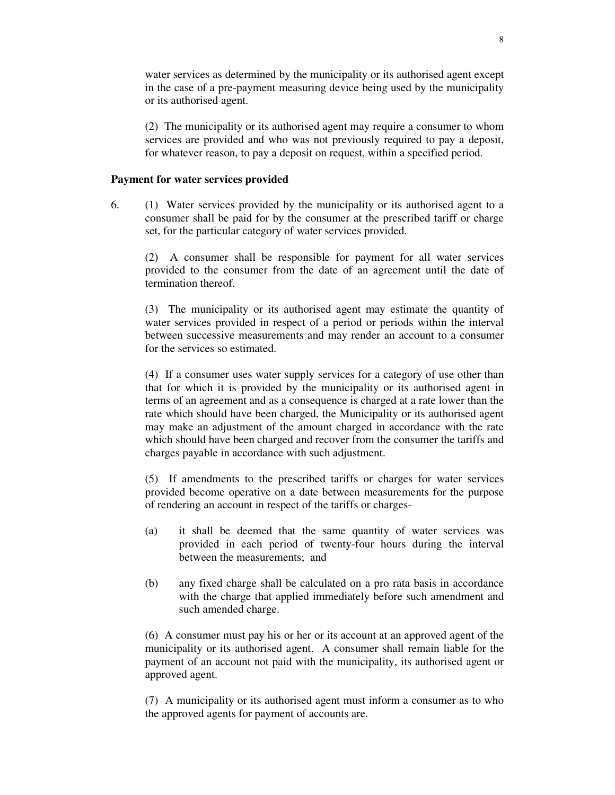water services as determined by the municipality or its authorised agent except in the case of a pre-payment measuring device being used by the municipality or its authorised agent.

(2) The municipality or its authorised agent may require a consumer to whom services are provided and who was not previously required to pay a deposit, for whatever reason, to pay a deposit on request, within a specified period.

### **Payment for water services provided**

6. (1) Water services provided by the municipality or its authorised agent to a consumer shall be paid for by the consumer at the prescribed tariff or charge set, for the particular category of water services provided.

(2) A consumer shall be responsible for payment for all water services provided to the consumer from the date of an agreement until the date of termination thereof.

(3) The municipality or its authorised agent may estimate the quantity of water services provided in respect of a period or periods within the interval between successive measurements and may render an account to a consumer for the services so estimated.

(4) If a consumer uses water supply services for a category of use other than that for which it is provided by the municipality or its authorised agent in terms of an agreement and as a consequence is charged at a rate lower than the rate which should have been charged, the Municipality or its authorised agent may make an adjustment of the amount charged in accordance with the rate which should have been charged and recover from the consumer the tariffs and charges payable in accordance with such adjustment.

(5) If amendments to the prescribed tariffs or charges for water services provided become operative on a date between measurements for the purpose of rendering an account in respect of the tariffs or charges-

- (a) it shall be deemed that the same quantity of water services was provided in each period of twenty-four hours during the interval between the measurements; and
- (b) any fixed charge shall be calculated on a pro rata basis in accordance with the charge that applied immediately before such amendment and such amended charge.

(6) A consumer must pay his or her or its account at an approved agent of the municipality or its authorised agent. A consumer shall remain liable for the payment of an account not paid with the municipality, its authorised agent or approved agent.

(7) A municipality or its authorised agent must inform a consumer as to who the approved agents for payment of accounts are.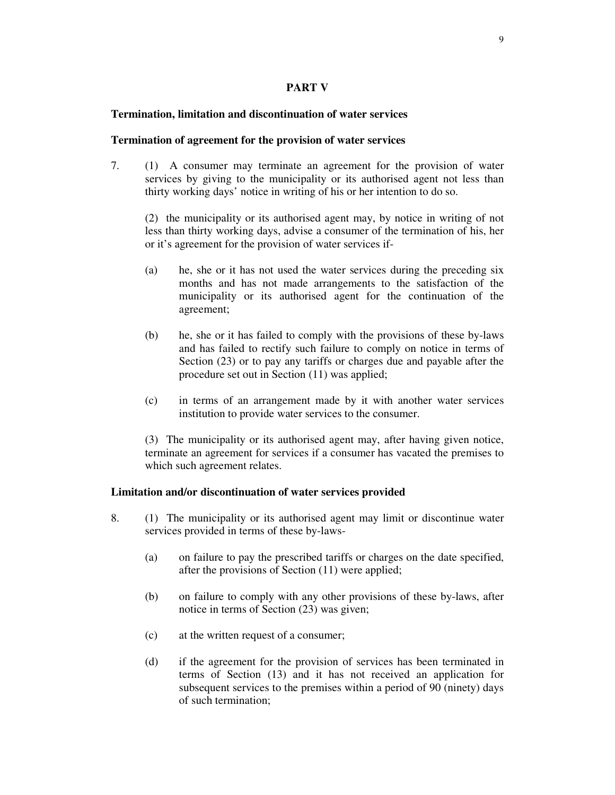## **PART V**

## **Termination, limitation and discontinuation of water services**

### **Termination of agreement for the provision of water services**

7. (1) A consumer may terminate an agreement for the provision of water services by giving to the municipality or its authorised agent not less than thirty working days' notice in writing of his or her intention to do so.

(2) the municipality or its authorised agent may, by notice in writing of not less than thirty working days, advise a consumer of the termination of his, her or it's agreement for the provision of water services if-

- (a) he, she or it has not used the water services during the preceding six months and has not made arrangements to the satisfaction of the municipality or its authorised agent for the continuation of the agreement;
- (b) he, she or it has failed to comply with the provisions of these by-laws and has failed to rectify such failure to comply on notice in terms of Section (23) or to pay any tariffs or charges due and payable after the procedure set out in Section (11) was applied;
- (c) in terms of an arrangement made by it with another water services institution to provide water services to the consumer.

(3) The municipality or its authorised agent may, after having given notice, terminate an agreement for services if a consumer has vacated the premises to which such agreement relates.

### **Limitation and/or discontinuation of water services provided**

- 8. (1) The municipality or its authorised agent may limit or discontinue water services provided in terms of these by-laws-
	- (a) on failure to pay the prescribed tariffs or charges on the date specified, after the provisions of Section (11) were applied;
	- (b) on failure to comply with any other provisions of these by-laws, after notice in terms of Section (23) was given;
	- (c) at the written request of a consumer;
	- (d) if the agreement for the provision of services has been terminated in terms of Section (13) and it has not received an application for subsequent services to the premises within a period of 90 (ninety) days of such termination;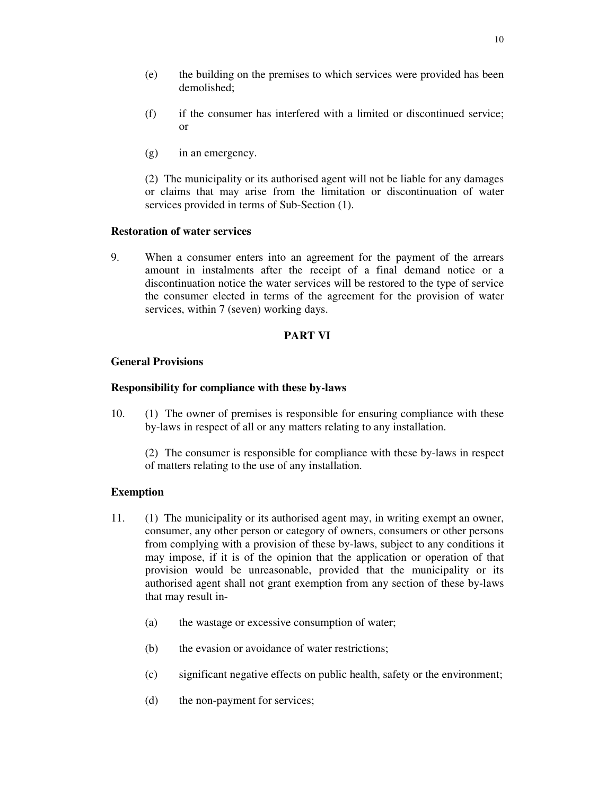- (e) the building on the premises to which services were provided has been demolished;
- (f) if the consumer has interfered with a limited or discontinued service; or
- (g) in an emergency.

(2) The municipality or its authorised agent will not be liable for any damages or claims that may arise from the limitation or discontinuation of water services provided in terms of Sub-Section (1).

# **Restoration of water services**

9. When a consumer enters into an agreement for the payment of the arrears amount in instalments after the receipt of a final demand notice or a discontinuation notice the water services will be restored to the type of service the consumer elected in terms of the agreement for the provision of water services, within 7 (seven) working days.

## **PART VI**

## **General Provisions**

## **Responsibility for compliance with these by-laws**

10. (1) The owner of premises is responsible for ensuring compliance with these by-laws in respect of all or any matters relating to any installation.

(2) The consumer is responsible for compliance with these by-laws in respect of matters relating to the use of any installation.

# **Exemption**

- 11. (1) The municipality or its authorised agent may, in writing exempt an owner, consumer, any other person or category of owners, consumers or other persons from complying with a provision of these by-laws, subject to any conditions it may impose, if it is of the opinion that the application or operation of that provision would be unreasonable, provided that the municipality or its authorised agent shall not grant exemption from any section of these by-laws that may result in-
	- (a) the wastage or excessive consumption of water;
	- (b) the evasion or avoidance of water restrictions;
	- (c) significant negative effects on public health, safety or the environment;
	- (d) the non-payment for services;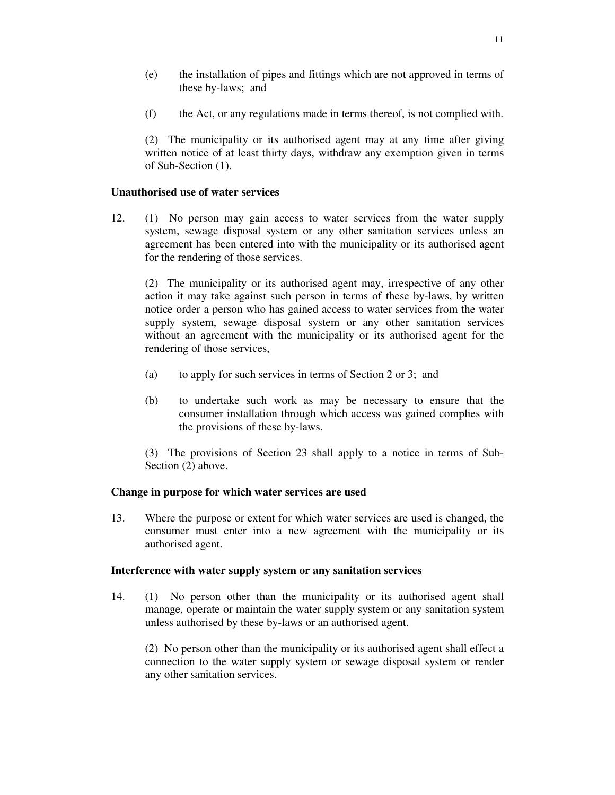(f) the Act, or any regulations made in terms thereof, is not complied with.

(2) The municipality or its authorised agent may at any time after giving written notice of at least thirty days, withdraw any exemption given in terms of Sub-Section (1).

## **Unauthorised use of water services**

12. (1) No person may gain access to water services from the water supply system, sewage disposal system or any other sanitation services unless an agreement has been entered into with the municipality or its authorised agent for the rendering of those services.

(2) The municipality or its authorised agent may, irrespective of any other action it may take against such person in terms of these by-laws, by written notice order a person who has gained access to water services from the water supply system, sewage disposal system or any other sanitation services without an agreement with the municipality or its authorised agent for the rendering of those services,

- (a) to apply for such services in terms of Section 2 or 3; and
- (b) to undertake such work as may be necessary to ensure that the consumer installation through which access was gained complies with the provisions of these by-laws.

(3) The provisions of Section 23 shall apply to a notice in terms of Sub-Section (2) above.

### **Change in purpose for which water services are used**

13. Where the purpose or extent for which water services are used is changed, the consumer must enter into a new agreement with the municipality or its authorised agent.

### **Interference with water supply system or any sanitation services**

14. (1) No person other than the municipality or its authorised agent shall manage, operate or maintain the water supply system or any sanitation system unless authorised by these by-laws or an authorised agent.

(2) No person other than the municipality or its authorised agent shall effect a connection to the water supply system or sewage disposal system or render any other sanitation services.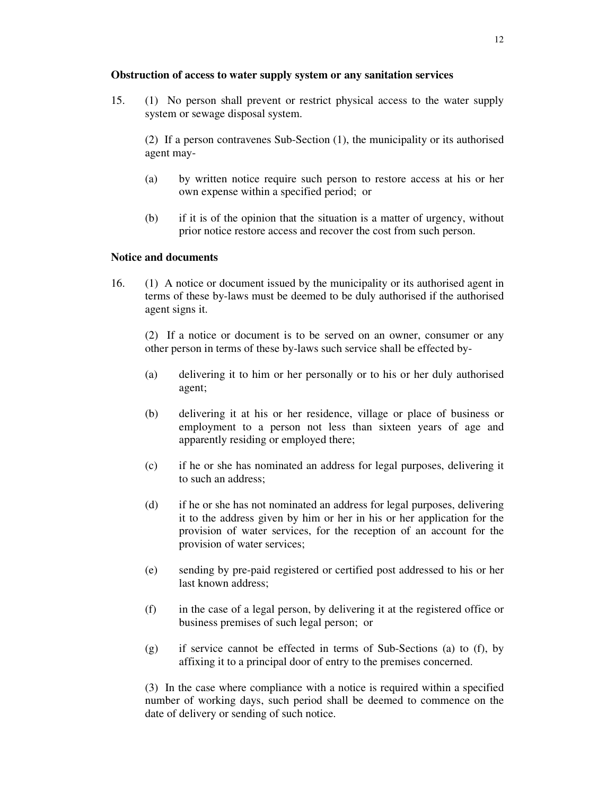## **Obstruction of access to water supply system or any sanitation services**

15. (1) No person shall prevent or restrict physical access to the water supply system or sewage disposal system.

(2) If a person contravenes Sub-Section (1), the municipality or its authorised agent may-

- (a) by written notice require such person to restore access at his or her own expense within a specified period; or
- (b) if it is of the opinion that the situation is a matter of urgency, without prior notice restore access and recover the cost from such person.

## **Notice and documents**

16. (1) A notice or document issued by the municipality or its authorised agent in terms of these by-laws must be deemed to be duly authorised if the authorised agent signs it.

(2) If a notice or document is to be served on an owner, consumer or any other person in terms of these by-laws such service shall be effected by-

- (a) delivering it to him or her personally or to his or her duly authorised agent;
- (b) delivering it at his or her residence, village or place of business or employment to a person not less than sixteen years of age and apparently residing or employed there;
- (c) if he or she has nominated an address for legal purposes, delivering it to such an address;
- (d) if he or she has not nominated an address for legal purposes, delivering it to the address given by him or her in his or her application for the provision of water services, for the reception of an account for the provision of water services;
- (e) sending by pre-paid registered or certified post addressed to his or her last known address;
- (f) in the case of a legal person, by delivering it at the registered office or business premises of such legal person; or
- (g) if service cannot be effected in terms of Sub-Sections (a) to (f), by affixing it to a principal door of entry to the premises concerned.

(3) In the case where compliance with a notice is required within a specified number of working days, such period shall be deemed to commence on the date of delivery or sending of such notice.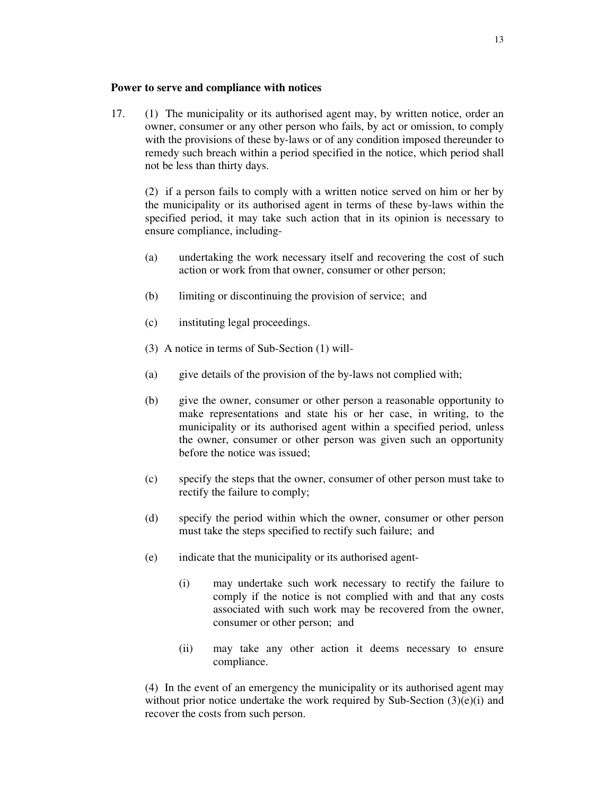### **Power to serve and compliance with notices**

17. (1) The municipality or its authorised agent may, by written notice, order an owner, consumer or any other person who fails, by act or omission, to comply with the provisions of these by-laws or of any condition imposed thereunder to remedy such breach within a period specified in the notice, which period shall not be less than thirty days.

(2) if a person fails to comply with a written notice served on him or her by the municipality or its authorised agent in terms of these by-laws within the specified period, it may take such action that in its opinion is necessary to ensure compliance, including-

- (a) undertaking the work necessary itself and recovering the cost of such action or work from that owner, consumer or other person;
- (b) limiting or discontinuing the provision of service; and
- (c) instituting legal proceedings.
- (3) A notice in terms of Sub-Section (1) will-
- (a) give details of the provision of the by-laws not complied with;
- (b) give the owner, consumer or other person a reasonable opportunity to make representations and state his or her case, in writing, to the municipality or its authorised agent within a specified period, unless the owner, consumer or other person was given such an opportunity before the notice was issued;
- (c) specify the steps that the owner, consumer of other person must take to rectify the failure to comply;
- (d) specify the period within which the owner, consumer or other person must take the steps specified to rectify such failure; and
- (e) indicate that the municipality or its authorised agent-
	- (i) may undertake such work necessary to rectify the failure to comply if the notice is not complied with and that any costs associated with such work may be recovered from the owner, consumer or other person; and
	- (ii) may take any other action it deems necessary to ensure compliance.

(4) In the event of an emergency the municipality or its authorised agent may without prior notice undertake the work required by Sub-Section  $(3)(e)(i)$  and recover the costs from such person.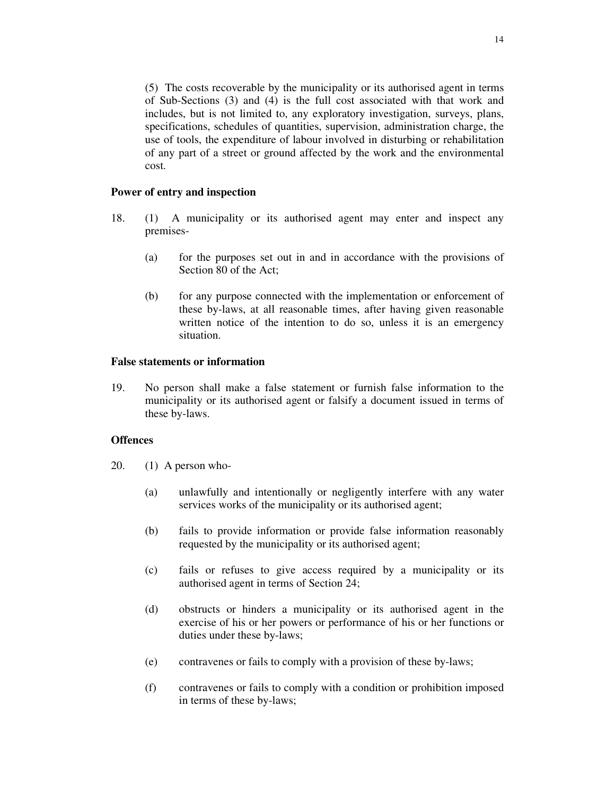(5) The costs recoverable by the municipality or its authorised agent in terms of Sub-Sections (3) and (4) is the full cost associated with that work and includes, but is not limited to, any exploratory investigation, surveys, plans, specifications, schedules of quantities, supervision, administration charge, the use of tools, the expenditure of labour involved in disturbing or rehabilitation of any part of a street or ground affected by the work and the environmental cost.

### **Power of entry and inspection**

- 18. (1) A municipality or its authorised agent may enter and inspect any premises-
	- (a) for the purposes set out in and in accordance with the provisions of Section 80 of the Act;
	- (b) for any purpose connected with the implementation or enforcement of these by-laws, at all reasonable times, after having given reasonable written notice of the intention to do so, unless it is an emergency situation.

## **False statements or information**

19. No person shall make a false statement or furnish false information to the municipality or its authorised agent or falsify a document issued in terms of these by-laws.

#### **Offences**

- 20. (1) A person who-
	- (a) unlawfully and intentionally or negligently interfere with any water services works of the municipality or its authorised agent;
	- (b) fails to provide information or provide false information reasonably requested by the municipality or its authorised agent;
	- (c) fails or refuses to give access required by a municipality or its authorised agent in terms of Section 24;
	- (d) obstructs or hinders a municipality or its authorised agent in the exercise of his or her powers or performance of his or her functions or duties under these by-laws;
	- (e) contravenes or fails to comply with a provision of these by-laws;
	- (f) contravenes or fails to comply with a condition or prohibition imposed in terms of these by-laws;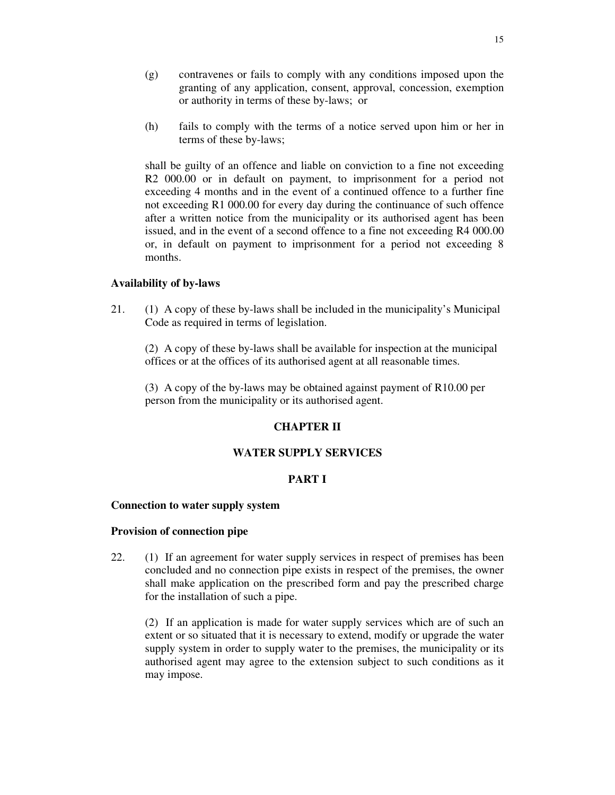- (g) contravenes or fails to comply with any conditions imposed upon the granting of any application, consent, approval, concession, exemption or authority in terms of these by-laws; or
- (h) fails to comply with the terms of a notice served upon him or her in terms of these by-laws;

shall be guilty of an offence and liable on conviction to a fine not exceeding R2 000.00 or in default on payment, to imprisonment for a period not exceeding 4 months and in the event of a continued offence to a further fine not exceeding R1 000.00 for every day during the continuance of such offence after a written notice from the municipality or its authorised agent has been issued, and in the event of a second offence to a fine not exceeding R4 000.00 or, in default on payment to imprisonment for a period not exceeding 8 months.

### **Availability of by-laws**

21. (1) A copy of these by-laws shall be included in the municipality's Municipal Code as required in terms of legislation.

(2) A copy of these by-laws shall be available for inspection at the municipal offices or at the offices of its authorised agent at all reasonable times.

(3) A copy of the by-laws may be obtained against payment of R10.00 per person from the municipality or its authorised agent.

## **CHAPTER II**

# **WATER SUPPLY SERVICES**

## **PART I**

## **Connection to water supply system**

### **Provision of connection pipe**

22. (1) If an agreement for water supply services in respect of premises has been concluded and no connection pipe exists in respect of the premises, the owner shall make application on the prescribed form and pay the prescribed charge for the installation of such a pipe.

(2) If an application is made for water supply services which are of such an extent or so situated that it is necessary to extend, modify or upgrade the water supply system in order to supply water to the premises, the municipality or its authorised agent may agree to the extension subject to such conditions as it may impose.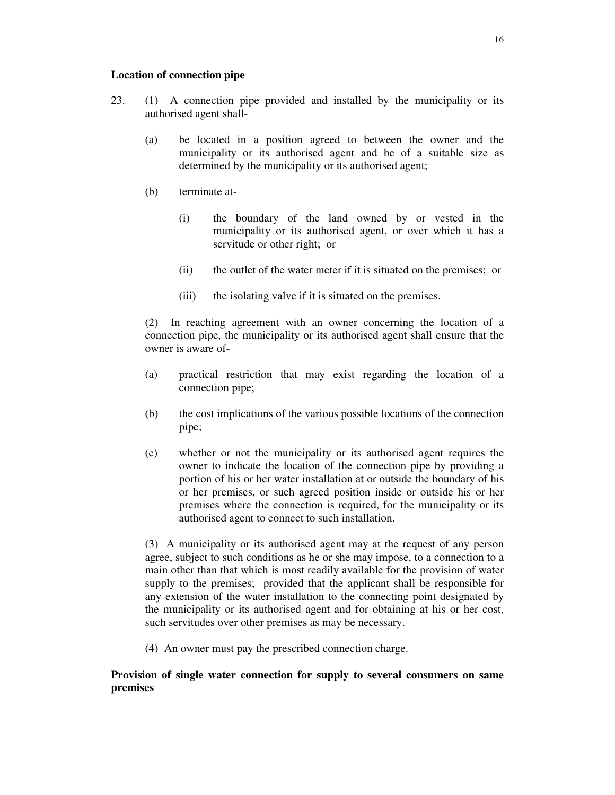## **Location of connection pipe**

- 23. (1) A connection pipe provided and installed by the municipality or its authorised agent shall-
	- (a) be located in a position agreed to between the owner and the municipality or its authorised agent and be of a suitable size as determined by the municipality or its authorised agent;
	- (b) terminate at-
		- (i) the boundary of the land owned by or vested in the municipality or its authorised agent, or over which it has a servitude or other right; or
		- (ii) the outlet of the water meter if it is situated on the premises; or
		- (iii) the isolating valve if it is situated on the premises.

(2) In reaching agreement with an owner concerning the location of a connection pipe, the municipality or its authorised agent shall ensure that the owner is aware of-

- (a) practical restriction that may exist regarding the location of a connection pipe;
- (b) the cost implications of the various possible locations of the connection pipe;
- (c) whether or not the municipality or its authorised agent requires the owner to indicate the location of the connection pipe by providing a portion of his or her water installation at or outside the boundary of his or her premises, or such agreed position inside or outside his or her premises where the connection is required, for the municipality or its authorised agent to connect to such installation.

(3) A municipality or its authorised agent may at the request of any person agree, subject to such conditions as he or she may impose, to a connection to a main other than that which is most readily available for the provision of water supply to the premises; provided that the applicant shall be responsible for any extension of the water installation to the connecting point designated by the municipality or its authorised agent and for obtaining at his or her cost, such servitudes over other premises as may be necessary.

(4) An owner must pay the prescribed connection charge.

# **Provision of single water connection for supply to several consumers on same premises**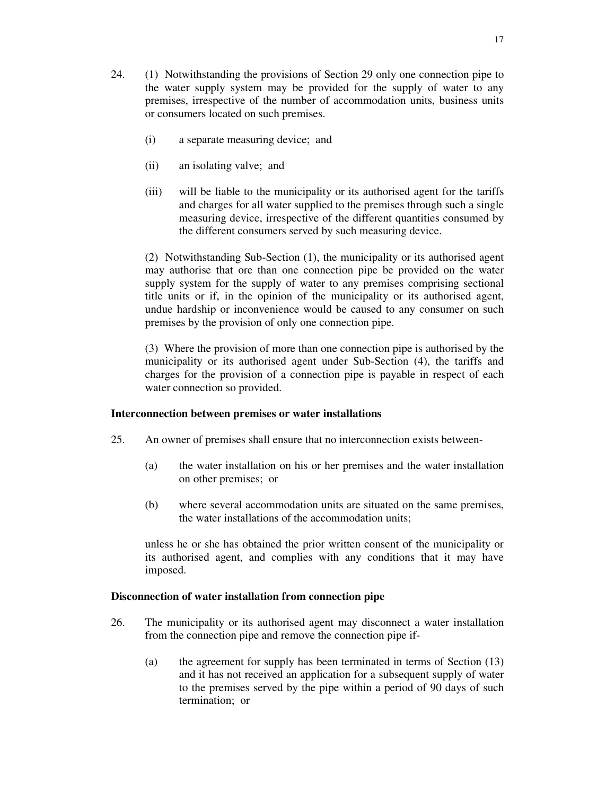- 24. (1) Notwithstanding the provisions of Section 29 only one connection pipe to the water supply system may be provided for the supply of water to any premises, irrespective of the number of accommodation units, business units or consumers located on such premises.
	- (i) a separate measuring device; and
	- (ii) an isolating valve; and
	- (iii) will be liable to the municipality or its authorised agent for the tariffs and charges for all water supplied to the premises through such a single measuring device, irrespective of the different quantities consumed by the different consumers served by such measuring device.

(2) Notwithstanding Sub-Section (1), the municipality or its authorised agent may authorise that ore than one connection pipe be provided on the water supply system for the supply of water to any premises comprising sectional title units or if, in the opinion of the municipality or its authorised agent, undue hardship or inconvenience would be caused to any consumer on such premises by the provision of only one connection pipe.

(3) Where the provision of more than one connection pipe is authorised by the municipality or its authorised agent under Sub-Section (4), the tariffs and charges for the provision of a connection pipe is payable in respect of each water connection so provided.

## **Interconnection between premises or water installations**

- 25. An owner of premises shall ensure that no interconnection exists between-
	- (a) the water installation on his or her premises and the water installation on other premises; or
	- (b) where several accommodation units are situated on the same premises, the water installations of the accommodation units;

unless he or she has obtained the prior written consent of the municipality or its authorised agent, and complies with any conditions that it may have imposed.

#### **Disconnection of water installation from connection pipe**

- 26. The municipality or its authorised agent may disconnect a water installation from the connection pipe and remove the connection pipe if-
	- (a) the agreement for supply has been terminated in terms of Section (13) and it has not received an application for a subsequent supply of water to the premises served by the pipe within a period of 90 days of such termination; or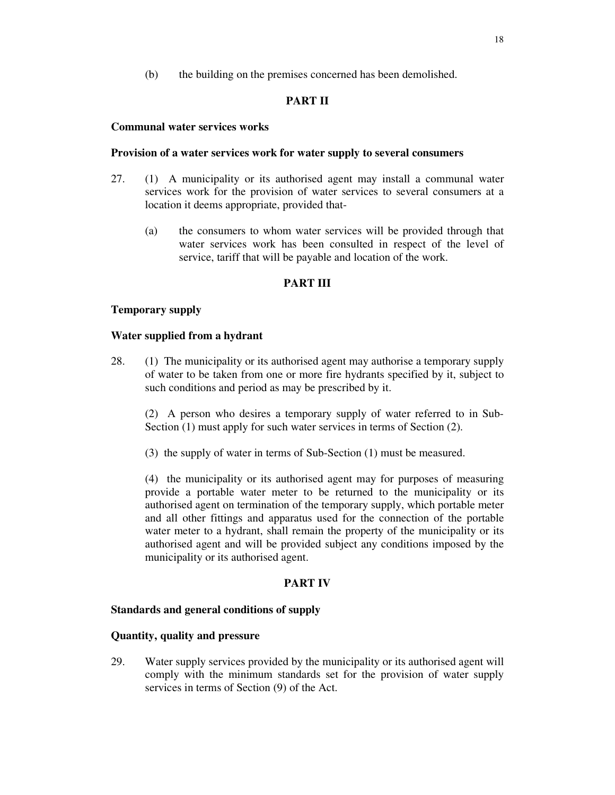(b) the building on the premises concerned has been demolished.

# **PART II**

## **Communal water services works**

## **Provision of a water services work for water supply to several consumers**

- 27. (1) A municipality or its authorised agent may install a communal water services work for the provision of water services to several consumers at a location it deems appropriate, provided that-
	- (a) the consumers to whom water services will be provided through that water services work has been consulted in respect of the level of service, tariff that will be payable and location of the work.

# **PART III**

# **Temporary supply**

## **Water supplied from a hydrant**

28. (1) The municipality or its authorised agent may authorise a temporary supply of water to be taken from one or more fire hydrants specified by it, subject to such conditions and period as may be prescribed by it.

(2) A person who desires a temporary supply of water referred to in Sub-Section (1) must apply for such water services in terms of Section (2).

(3) the supply of water in terms of Sub-Section (1) must be measured.

(4) the municipality or its authorised agent may for purposes of measuring provide a portable water meter to be returned to the municipality or its authorised agent on termination of the temporary supply, which portable meter and all other fittings and apparatus used for the connection of the portable water meter to a hydrant, shall remain the property of the municipality or its authorised agent and will be provided subject any conditions imposed by the municipality or its authorised agent.

### **PART IV**

### **Standards and general conditions of supply**

### **Quantity, quality and pressure**

29. Water supply services provided by the municipality or its authorised agent will comply with the minimum standards set for the provision of water supply services in terms of Section (9) of the Act.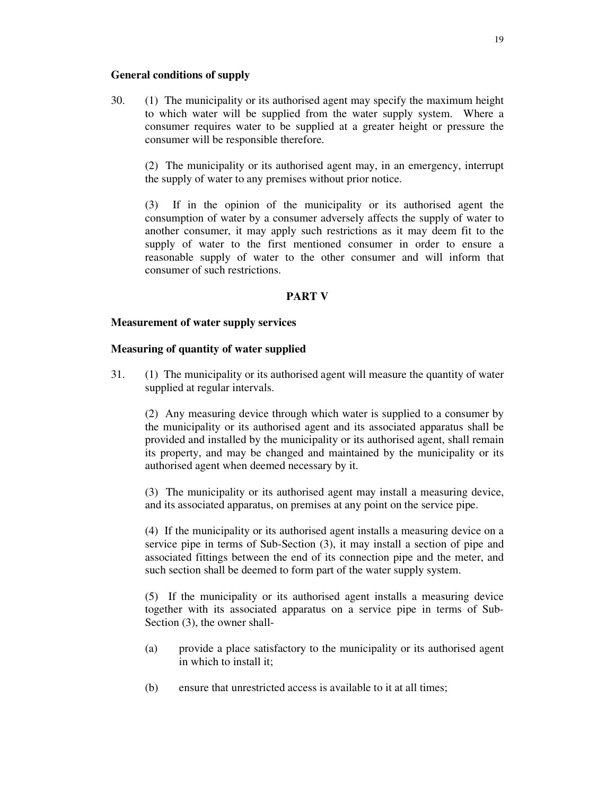## **General conditions of supply**

30. (1) The municipality or its authorised agent may specify the maximum height to which water will be supplied from the water supply system. Where a consumer requires water to be supplied at a greater height or pressure the consumer will be responsible therefore.

(2) The municipality or its authorised agent may, in an emergency, interrupt the supply of water to any premises without prior notice.

(3) If in the opinion of the municipality or its authorised agent the consumption of water by a consumer adversely affects the supply of water to another consumer, it may apply such restrictions as it may deem fit to the supply of water to the first mentioned consumer in order to ensure a reasonable supply of water to the other consumer and will inform that consumer of such restrictions.

## **PART V**

### **Measurement of water supply services**

## **Measuring of quantity of water supplied**

31. (1) The municipality or its authorised agent will measure the quantity of water supplied at regular intervals.

(2) Any measuring device through which water is supplied to a consumer by the municipality or its authorised agent and its associated apparatus shall be provided and installed by the municipality or its authorised agent, shall remain its property, and may be changed and maintained by the municipality or its authorised agent when deemed necessary by it.

(3) The municipality or its authorised agent may install a measuring device, and its associated apparatus, on premises at any point on the service pipe.

(4) If the municipality or its authorised agent installs a measuring device on a service pipe in terms of Sub-Section (3), it may install a section of pipe and associated fittings between the end of its connection pipe and the meter, and such section shall be deemed to form part of the water supply system.

(5) If the municipality or its authorised agent installs a measuring device together with its associated apparatus on a service pipe in terms of Sub-Section (3), the owner shall-

- (a) provide a place satisfactory to the municipality or its authorised agent in which to install it;
- (b) ensure that unrestricted access is available to it at all times;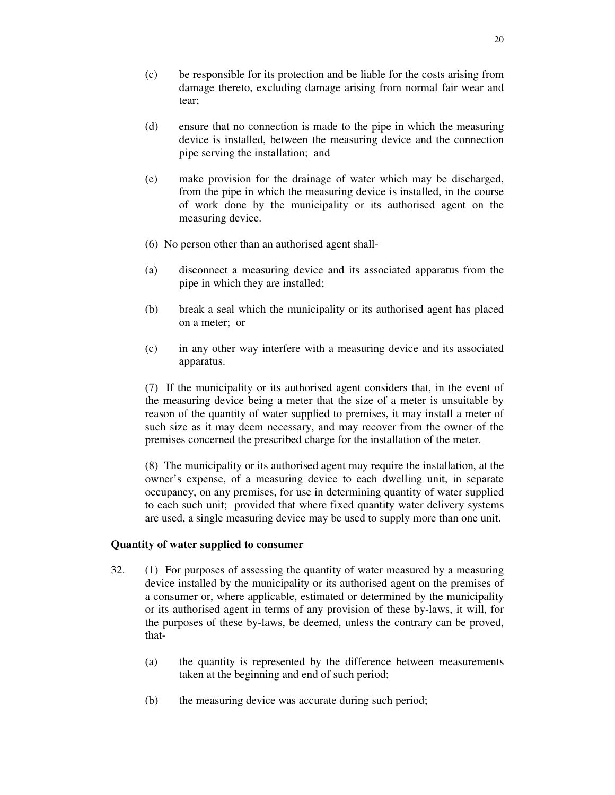- (c) be responsible for its protection and be liable for the costs arising from damage thereto, excluding damage arising from normal fair wear and tear;
- (d) ensure that no connection is made to the pipe in which the measuring device is installed, between the measuring device and the connection pipe serving the installation; and
- (e) make provision for the drainage of water which may be discharged, from the pipe in which the measuring device is installed, in the course of work done by the municipality or its authorised agent on the measuring device.
- (6) No person other than an authorised agent shall-
- (a) disconnect a measuring device and its associated apparatus from the pipe in which they are installed;
- (b) break a seal which the municipality or its authorised agent has placed on a meter; or
- (c) in any other way interfere with a measuring device and its associated apparatus.

(7) If the municipality or its authorised agent considers that, in the event of the measuring device being a meter that the size of a meter is unsuitable by reason of the quantity of water supplied to premises, it may install a meter of such size as it may deem necessary, and may recover from the owner of the premises concerned the prescribed charge for the installation of the meter.

(8) The municipality or its authorised agent may require the installation, at the owner's expense, of a measuring device to each dwelling unit, in separate occupancy, on any premises, for use in determining quantity of water supplied to each such unit; provided that where fixed quantity water delivery systems are used, a single measuring device may be used to supply more than one unit.

### **Quantity of water supplied to consumer**

- 32. (1) For purposes of assessing the quantity of water measured by a measuring device installed by the municipality or its authorised agent on the premises of a consumer or, where applicable, estimated or determined by the municipality or its authorised agent in terms of any provision of these by-laws, it will, for the purposes of these by-laws, be deemed, unless the contrary can be proved, that-
	- (a) the quantity is represented by the difference between measurements taken at the beginning and end of such period;
	- (b) the measuring device was accurate during such period;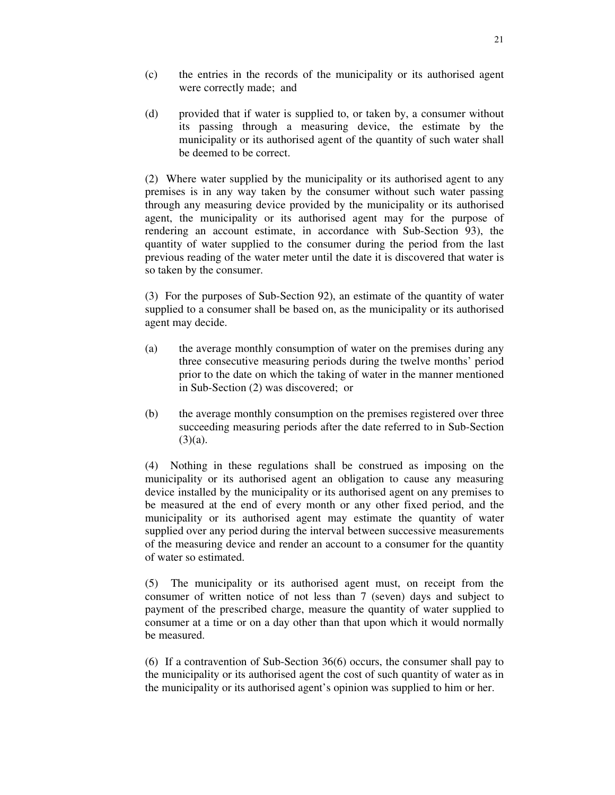- (c) the entries in the records of the municipality or its authorised agent were correctly made; and
- (d) provided that if water is supplied to, or taken by, a consumer without its passing through a measuring device, the estimate by the municipality or its authorised agent of the quantity of such water shall be deemed to be correct.

(2) Where water supplied by the municipality or its authorised agent to any premises is in any way taken by the consumer without such water passing through any measuring device provided by the municipality or its authorised agent, the municipality or its authorised agent may for the purpose of rendering an account estimate, in accordance with Sub-Section 93), the quantity of water supplied to the consumer during the period from the last previous reading of the water meter until the date it is discovered that water is so taken by the consumer.

(3) For the purposes of Sub-Section 92), an estimate of the quantity of water supplied to a consumer shall be based on, as the municipality or its authorised agent may decide.

- (a) the average monthly consumption of water on the premises during any three consecutive measuring periods during the twelve months' period prior to the date on which the taking of water in the manner mentioned in Sub-Section (2) was discovered; or
- (b) the average monthly consumption on the premises registered over three succeeding measuring periods after the date referred to in Sub-Section  $(3)(a)$ .

(4) Nothing in these regulations shall be construed as imposing on the municipality or its authorised agent an obligation to cause any measuring device installed by the municipality or its authorised agent on any premises to be measured at the end of every month or any other fixed period, and the municipality or its authorised agent may estimate the quantity of water supplied over any period during the interval between successive measurements of the measuring device and render an account to a consumer for the quantity of water so estimated.

(5) The municipality or its authorised agent must, on receipt from the consumer of written notice of not less than 7 (seven) days and subject to payment of the prescribed charge, measure the quantity of water supplied to consumer at a time or on a day other than that upon which it would normally be measured.

(6) If a contravention of Sub-Section 36(6) occurs, the consumer shall pay to the municipality or its authorised agent the cost of such quantity of water as in the municipality or its authorised agent's opinion was supplied to him or her.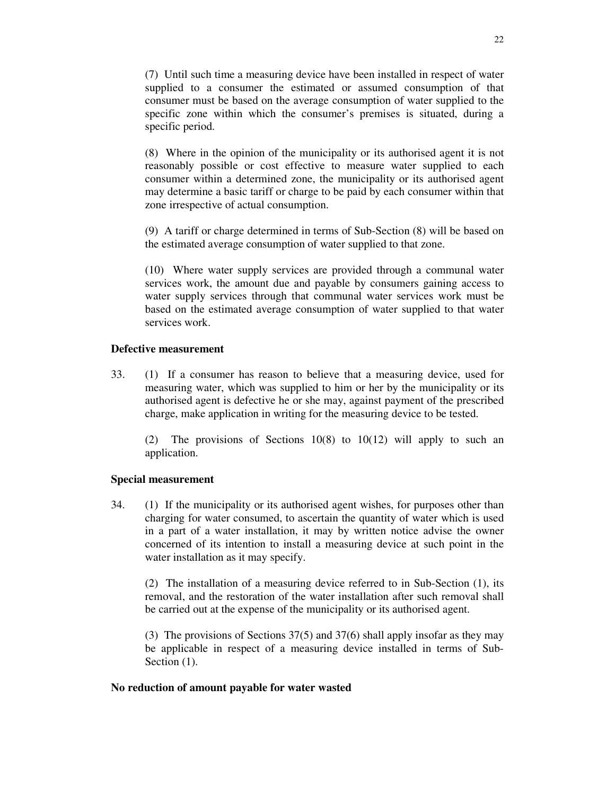(7) Until such time a measuring device have been installed in respect of water supplied to a consumer the estimated or assumed consumption of that consumer must be based on the average consumption of water supplied to the specific zone within which the consumer's premises is situated, during a specific period.

(8) Where in the opinion of the municipality or its authorised agent it is not reasonably possible or cost effective to measure water supplied to each consumer within a determined zone, the municipality or its authorised agent may determine a basic tariff or charge to be paid by each consumer within that zone irrespective of actual consumption.

(9) A tariff or charge determined in terms of Sub-Section (8) will be based on the estimated average consumption of water supplied to that zone.

(10) Where water supply services are provided through a communal water services work, the amount due and payable by consumers gaining access to water supply services through that communal water services work must be based on the estimated average consumption of water supplied to that water services work.

## **Defective measurement**

33. (1) If a consumer has reason to believe that a measuring device, used for measuring water, which was supplied to him or her by the municipality or its authorised agent is defective he or she may, against payment of the prescribed charge, make application in writing for the measuring device to be tested.

(2) The provisions of Sections 10(8) to 10(12) will apply to such an application.

#### **Special measurement**

34. (1) If the municipality or its authorised agent wishes, for purposes other than charging for water consumed, to ascertain the quantity of water which is used in a part of a water installation, it may by written notice advise the owner concerned of its intention to install a measuring device at such point in the water installation as it may specify.

(2) The installation of a measuring device referred to in Sub-Section (1), its removal, and the restoration of the water installation after such removal shall be carried out at the expense of the municipality or its authorised agent.

(3) The provisions of Sections 37(5) and 37(6) shall apply insofar as they may be applicable in respect of a measuring device installed in terms of Sub-Section  $(1)$ .

#### **No reduction of amount payable for water wasted**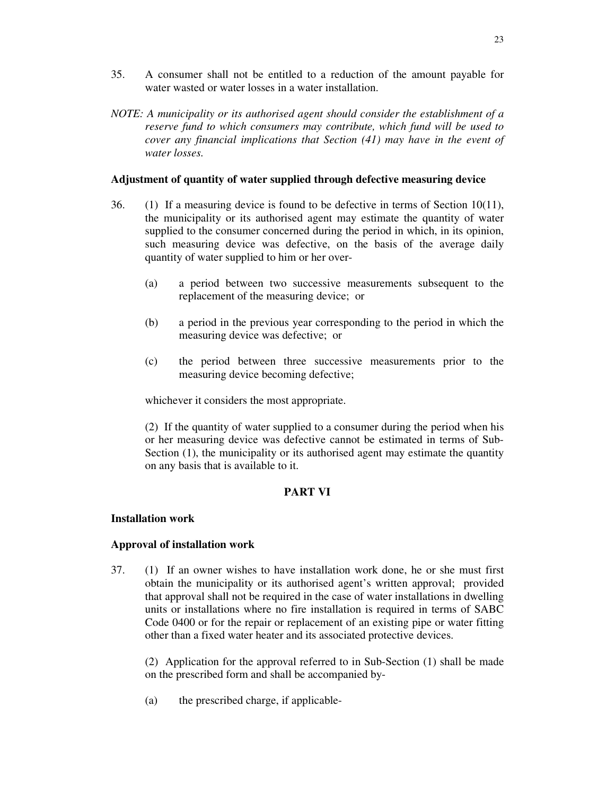- 35. A consumer shall not be entitled to a reduction of the amount payable for water wasted or water losses in a water installation.
- *NOTE: A municipality or its authorised agent should consider the establishment of a reserve fund to which consumers may contribute, which fund will be used to cover any financial implications that Section (41) may have in the event of water losses.*

## **Adjustment of quantity of water supplied through defective measuring device**

- 36. (1) If a measuring device is found to be defective in terms of Section 10(11), the municipality or its authorised agent may estimate the quantity of water supplied to the consumer concerned during the period in which, in its opinion, such measuring device was defective, on the basis of the average daily quantity of water supplied to him or her over-
	- (a) a period between two successive measurements subsequent to the replacement of the measuring device; or
	- (b) a period in the previous year corresponding to the period in which the measuring device was defective; or
	- (c) the period between three successive measurements prior to the measuring device becoming defective;

whichever it considers the most appropriate.

(2) If the quantity of water supplied to a consumer during the period when his or her measuring device was defective cannot be estimated in terms of Sub-Section (1), the municipality or its authorised agent may estimate the quantity on any basis that is available to it.

# **PART VI**

### **Installation work**

# **Approval of installation work**

37. (1) If an owner wishes to have installation work done, he or she must first obtain the municipality or its authorised agent's written approval; provided that approval shall not be required in the case of water installations in dwelling units or installations where no fire installation is required in terms of SABC Code 0400 or for the repair or replacement of an existing pipe or water fitting other than a fixed water heater and its associated protective devices.

(2) Application for the approval referred to in Sub-Section (1) shall be made on the prescribed form and shall be accompanied by-

(a) the prescribed charge, if applicable-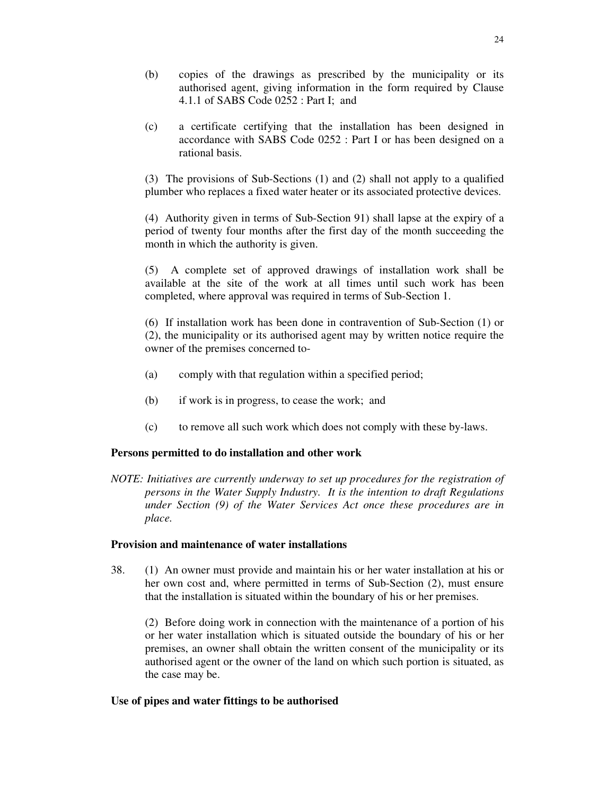- (b) copies of the drawings as prescribed by the municipality or its authorised agent, giving information in the form required by Clause 4.1.1 of SABS Code 0252 : Part I; and
- (c) a certificate certifying that the installation has been designed in accordance with SABS Code 0252 : Part I or has been designed on a rational basis.

(3) The provisions of Sub-Sections (1) and (2) shall not apply to a qualified plumber who replaces a fixed water heater or its associated protective devices.

(4) Authority given in terms of Sub-Section 91) shall lapse at the expiry of a period of twenty four months after the first day of the month succeeding the month in which the authority is given.

(5) A complete set of approved drawings of installation work shall be available at the site of the work at all times until such work has been completed, where approval was required in terms of Sub-Section 1.

(6) If installation work has been done in contravention of Sub-Section (1) or (2), the municipality or its authorised agent may by written notice require the owner of the premises concerned to-

- (a) comply with that regulation within a specified period;
- (b) if work is in progress, to cease the work; and
- (c) to remove all such work which does not comply with these by-laws.

### **Persons permitted to do installation and other work**

*NOTE: Initiatives are currently underway to set up procedures for the registration of persons in the Water Supply Industry. It is the intention to draft Regulations under Section (9) of the Water Services Act once these procedures are in place.*

### **Provision and maintenance of water installations**

38. (1) An owner must provide and maintain his or her water installation at his or her own cost and, where permitted in terms of Sub-Section (2), must ensure that the installation is situated within the boundary of his or her premises.

(2) Before doing work in connection with the maintenance of a portion of his or her water installation which is situated outside the boundary of his or her premises, an owner shall obtain the written consent of the municipality or its authorised agent or the owner of the land on which such portion is situated, as the case may be.

### **Use of pipes and water fittings to be authorised**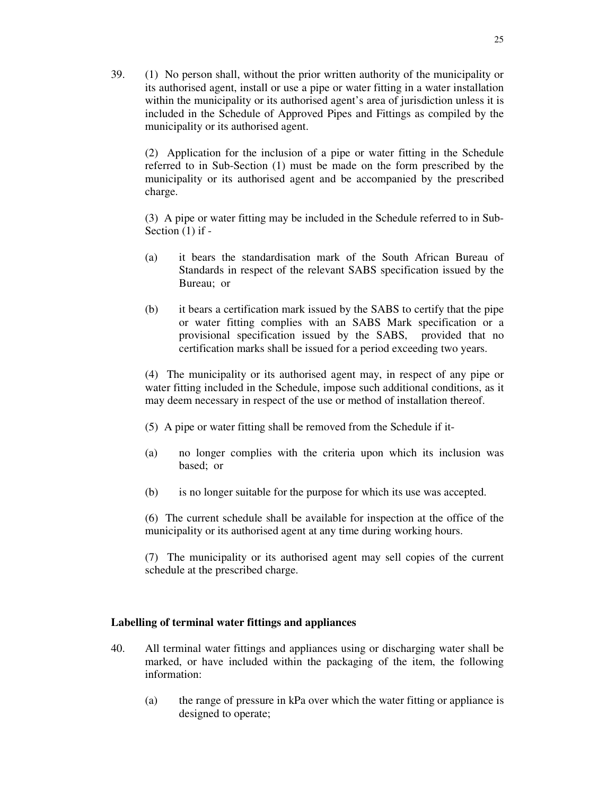39. (1) No person shall, without the prior written authority of the municipality or its authorised agent, install or use a pipe or water fitting in a water installation within the municipality or its authorised agent's area of jurisdiction unless it is included in the Schedule of Approved Pipes and Fittings as compiled by the municipality or its authorised agent.

(2) Application for the inclusion of a pipe or water fitting in the Schedule referred to in Sub-Section (1) must be made on the form prescribed by the municipality or its authorised agent and be accompanied by the prescribed charge.

(3) A pipe or water fitting may be included in the Schedule referred to in Sub-Section (1) if -

- (a) it bears the standardisation mark of the South African Bureau of Standards in respect of the relevant SABS specification issued by the Bureau; or
- (b) it bears a certification mark issued by the SABS to certify that the pipe or water fitting complies with an SABS Mark specification or a provisional specification issued by the SABS, provided that no certification marks shall be issued for a period exceeding two years.

(4) The municipality or its authorised agent may, in respect of any pipe or water fitting included in the Schedule, impose such additional conditions, as it may deem necessary in respect of the use or method of installation thereof.

- (5) A pipe or water fitting shall be removed from the Schedule if it-
- (a) no longer complies with the criteria upon which its inclusion was based; or
- (b) is no longer suitable for the purpose for which its use was accepted.

(6) The current schedule shall be available for inspection at the office of the municipality or its authorised agent at any time during working hours.

(7) The municipality or its authorised agent may sell copies of the current schedule at the prescribed charge.

### **Labelling of terminal water fittings and appliances**

- 40. All terminal water fittings and appliances using or discharging water shall be marked, or have included within the packaging of the item, the following information:
	- (a) the range of pressure in kPa over which the water fitting or appliance is designed to operate;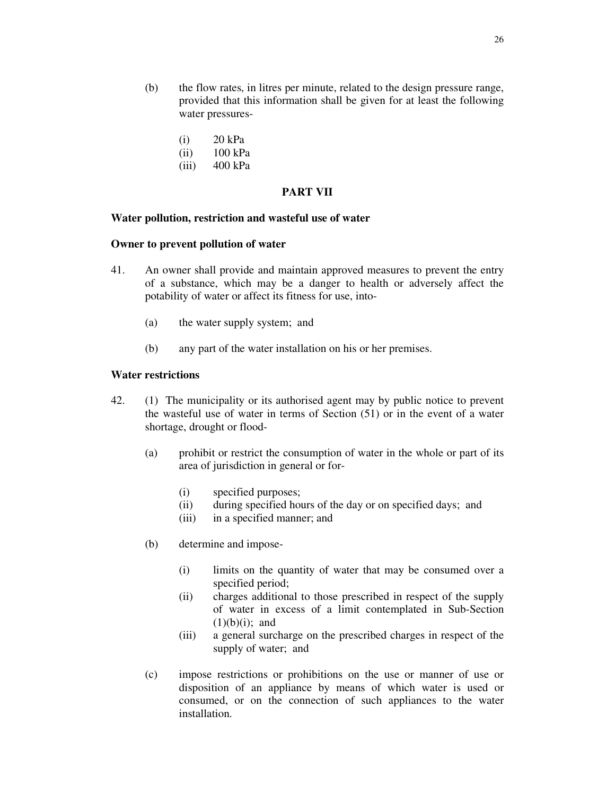- (i) 20 kPa
- (ii) 100 kPa
- (iii) 400 kPa

### **PART VII**

### **Water pollution, restriction and wasteful use of water**

#### **Owner to prevent pollution of water**

- 41. An owner shall provide and maintain approved measures to prevent the entry of a substance, which may be a danger to health or adversely affect the potability of water or affect its fitness for use, into-
	- (a) the water supply system; and
	- (b) any part of the water installation on his or her premises.

## **Water restrictions**

- 42. (1) The municipality or its authorised agent may by public notice to prevent the wasteful use of water in terms of Section (51) or in the event of a water shortage, drought or flood-
	- (a) prohibit or restrict the consumption of water in the whole or part of its area of jurisdiction in general or for-
		- (i) specified purposes;
		- (ii) during specified hours of the day or on specified days; and
		- (iii) in a specified manner; and
	- (b) determine and impose-
		- (i) limits on the quantity of water that may be consumed over a specified period;
		- (ii) charges additional to those prescribed in respect of the supply of water in excess of a limit contemplated in Sub-Section  $(1)(b)(i)$ ; and
		- (iii) a general surcharge on the prescribed charges in respect of the supply of water; and
	- (c) impose restrictions or prohibitions on the use or manner of use or disposition of an appliance by means of which water is used or consumed, or on the connection of such appliances to the water installation.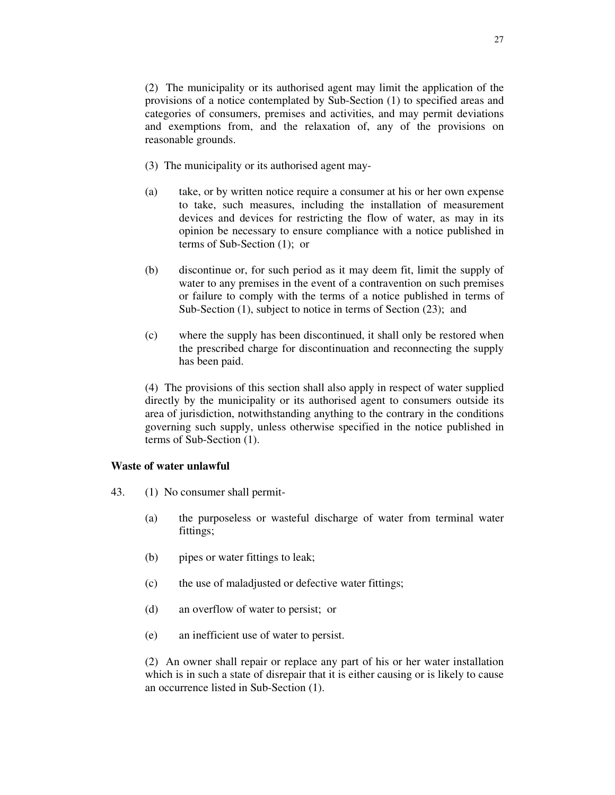(2) The municipality or its authorised agent may limit the application of the provisions of a notice contemplated by Sub-Section (1) to specified areas and categories of consumers, premises and activities, and may permit deviations and exemptions from, and the relaxation of, any of the provisions on reasonable grounds.

- (3) The municipality or its authorised agent may-
- (a) take, or by written notice require a consumer at his or her own expense to take, such measures, including the installation of measurement devices and devices for restricting the flow of water, as may in its opinion be necessary to ensure compliance with a notice published in terms of Sub-Section (1); or
- (b) discontinue or, for such period as it may deem fit, limit the supply of water to any premises in the event of a contravention on such premises or failure to comply with the terms of a notice published in terms of Sub-Section (1), subject to notice in terms of Section (23); and
- (c) where the supply has been discontinued, it shall only be restored when the prescribed charge for discontinuation and reconnecting the supply has been paid.

(4) The provisions of this section shall also apply in respect of water supplied directly by the municipality or its authorised agent to consumers outside its area of jurisdiction, notwithstanding anything to the contrary in the conditions governing such supply, unless otherwise specified in the notice published in terms of Sub-Section (1).

### **Waste of water unlawful**

- 43. (1) No consumer shall permit-
	- (a) the purposeless or wasteful discharge of water from terminal water fittings;
	- (b) pipes or water fittings to leak;
	- (c) the use of maladjusted or defective water fittings;
	- (d) an overflow of water to persist; or
	- (e) an inefficient use of water to persist.

(2) An owner shall repair or replace any part of his or her water installation which is in such a state of disrepair that it is either causing or is likely to cause an occurrence listed in Sub-Section (1).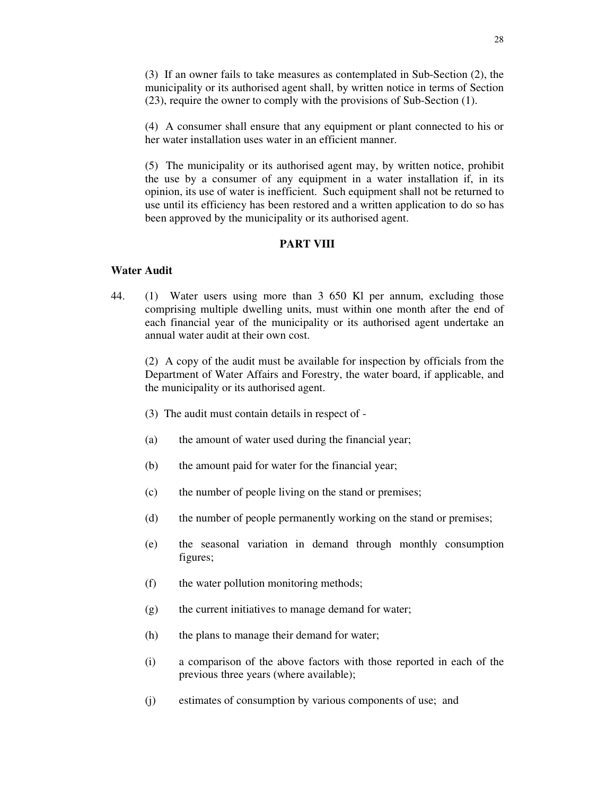(3) If an owner fails to take measures as contemplated in Sub-Section (2), the municipality or its authorised agent shall, by written notice in terms of Section (23), require the owner to comply with the provisions of Sub-Section (1).

(4) A consumer shall ensure that any equipment or plant connected to his or her water installation uses water in an efficient manner.

(5) The municipality or its authorised agent may, by written notice, prohibit the use by a consumer of any equipment in a water installation if, in its opinion, its use of water is inefficient. Such equipment shall not be returned to use until its efficiency has been restored and a written application to do so has been approved by the municipality or its authorised agent.

### **PART VIII**

## **Water Audit**

44. (1) Water users using more than 3 650 Kl per annum, excluding those comprising multiple dwelling units, must within one month after the end of each financial year of the municipality or its authorised agent undertake an annual water audit at their own cost.

(2) A copy of the audit must be available for inspection by officials from the Department of Water Affairs and Forestry, the water board, if applicable, and the municipality or its authorised agent.

- (3) The audit must contain details in respect of -
- (a) the amount of water used during the financial year;
- (b) the amount paid for water for the financial year;
- (c) the number of people living on the stand or premises;
- (d) the number of people permanently working on the stand or premises;
- (e) the seasonal variation in demand through monthly consumption figures;
- (f) the water pollution monitoring methods;
- (g) the current initiatives to manage demand for water;
- (h) the plans to manage their demand for water;
- (i) a comparison of the above factors with those reported in each of the previous three years (where available);
- (j) estimates of consumption by various components of use; and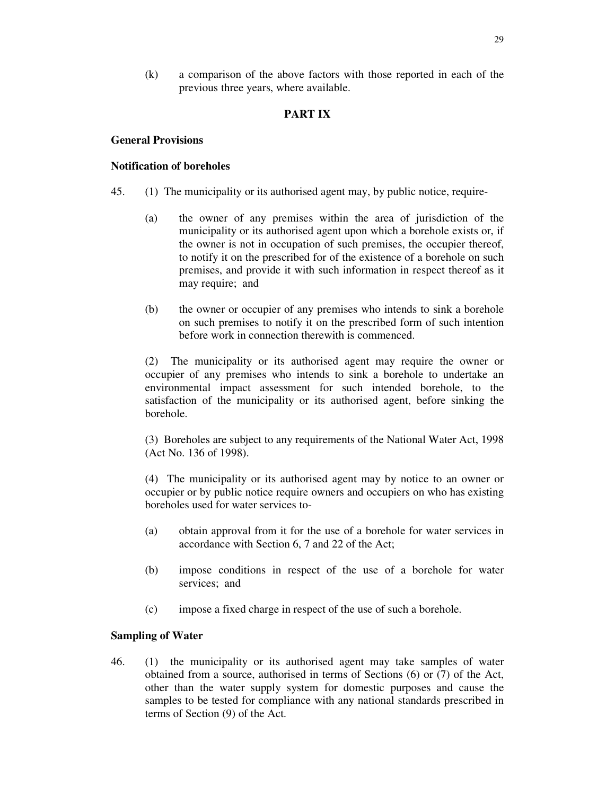(k) a comparison of the above factors with those reported in each of the previous three years, where available.

## **PART IX**

### **General Provisions**

### **Notification of boreholes**

- 45. (1) The municipality or its authorised agent may, by public notice, require-
	- (a) the owner of any premises within the area of jurisdiction of the municipality or its authorised agent upon which a borehole exists or, if the owner is not in occupation of such premises, the occupier thereof, to notify it on the prescribed for of the existence of a borehole on such premises, and provide it with such information in respect thereof as it may require; and
	- (b) the owner or occupier of any premises who intends to sink a borehole on such premises to notify it on the prescribed form of such intention before work in connection therewith is commenced.

(2) The municipality or its authorised agent may require the owner or occupier of any premises who intends to sink a borehole to undertake an environmental impact assessment for such intended borehole, to the satisfaction of the municipality or its authorised agent, before sinking the borehole.

(3) Boreholes are subject to any requirements of the National Water Act, 1998 (Act No. 136 of 1998).

(4) The municipality or its authorised agent may by notice to an owner or occupier or by public notice require owners and occupiers on who has existing boreholes used for water services to-

- (a) obtain approval from it for the use of a borehole for water services in accordance with Section 6, 7 and 22 of the Act;
- (b) impose conditions in respect of the use of a borehole for water services; and
- (c) impose a fixed charge in respect of the use of such a borehole.

### **Sampling of Water**

46. (1) the municipality or its authorised agent may take samples of water obtained from a source, authorised in terms of Sections (6) or (7) of the Act, other than the water supply system for domestic purposes and cause the samples to be tested for compliance with any national standards prescribed in terms of Section (9) of the Act.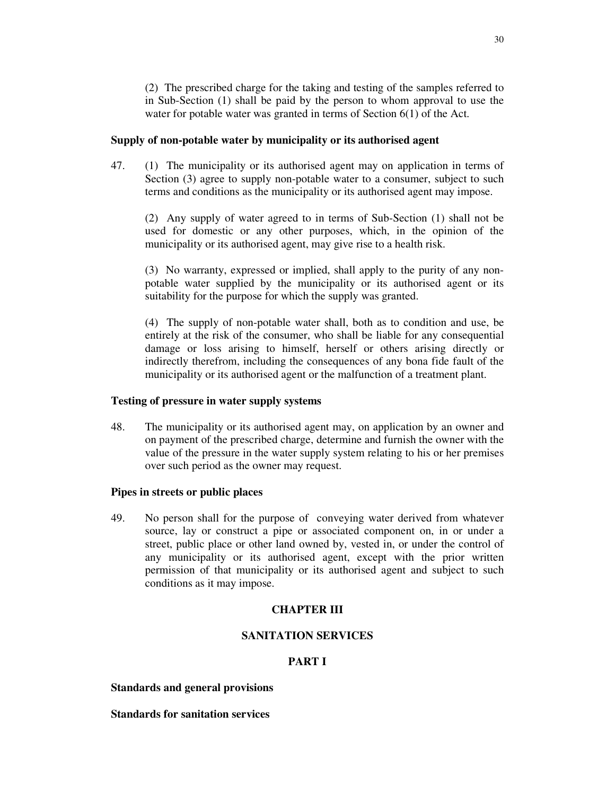(2) The prescribed charge for the taking and testing of the samples referred to in Sub-Section (1) shall be paid by the person to whom approval to use the water for potable water was granted in terms of Section 6(1) of the Act.

#### **Supply of non-potable water by municipality or its authorised agent**

47. (1) The municipality or its authorised agent may on application in terms of Section (3) agree to supply non-potable water to a consumer, subject to such terms and conditions as the municipality or its authorised agent may impose.

(2) Any supply of water agreed to in terms of Sub-Section (1) shall not be used for domestic or any other purposes, which, in the opinion of the municipality or its authorised agent, may give rise to a health risk.

(3) No warranty, expressed or implied, shall apply to the purity of any nonpotable water supplied by the municipality or its authorised agent or its suitability for the purpose for which the supply was granted.

(4) The supply of non-potable water shall, both as to condition and use, be entirely at the risk of the consumer, who shall be liable for any consequential damage or loss arising to himself, herself or others arising directly or indirectly therefrom, including the consequences of any bona fide fault of the municipality or its authorised agent or the malfunction of a treatment plant.

#### **Testing of pressure in water supply systems**

48. The municipality or its authorised agent may, on application by an owner and on payment of the prescribed charge, determine and furnish the owner with the value of the pressure in the water supply system relating to his or her premises over such period as the owner may request.

#### **Pipes in streets or public places**

49. No person shall for the purpose of conveying water derived from whatever source, lay or construct a pipe or associated component on, in or under a street, public place or other land owned by, vested in, or under the control of any municipality or its authorised agent, except with the prior written permission of that municipality or its authorised agent and subject to such conditions as it may impose.

### **CHAPTER III**

## **SANITATION SERVICES**

## **PART I**

#### **Standards and general provisions**

**Standards for sanitation services**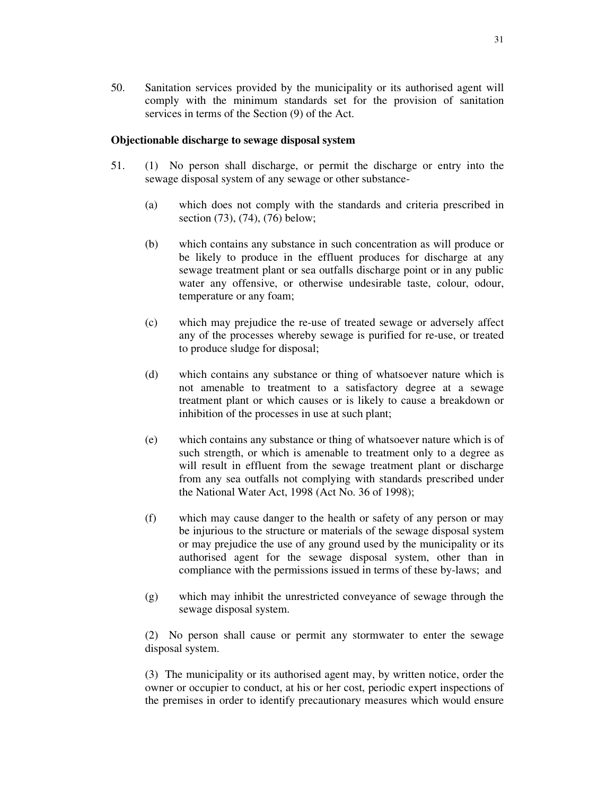50. Sanitation services provided by the municipality or its authorised agent will comply with the minimum standards set for the provision of sanitation services in terms of the Section (9) of the Act.

## **Objectionable discharge to sewage disposal system**

- 51. (1) No person shall discharge, or permit the discharge or entry into the sewage disposal system of any sewage or other substance-
	- (a) which does not comply with the standards and criteria prescribed in section (73), (74), (76) below;
	- (b) which contains any substance in such concentration as will produce or be likely to produce in the effluent produces for discharge at any sewage treatment plant or sea outfalls discharge point or in any public water any offensive, or otherwise undesirable taste, colour, odour, temperature or any foam;
	- (c) which may prejudice the re-use of treated sewage or adversely affect any of the processes whereby sewage is purified for re-use, or treated to produce sludge for disposal;
	- (d) which contains any substance or thing of whatsoever nature which is not amenable to treatment to a satisfactory degree at a sewage treatment plant or which causes or is likely to cause a breakdown or inhibition of the processes in use at such plant;
	- (e) which contains any substance or thing of whatsoever nature which is of such strength, or which is amenable to treatment only to a degree as will result in effluent from the sewage treatment plant or discharge from any sea outfalls not complying with standards prescribed under the National Water Act, 1998 (Act No. 36 of 1998);
	- (f) which may cause danger to the health or safety of any person or may be injurious to the structure or materials of the sewage disposal system or may prejudice the use of any ground used by the municipality or its authorised agent for the sewage disposal system, other than in compliance with the permissions issued in terms of these by-laws; and
	- (g) which may inhibit the unrestricted conveyance of sewage through the sewage disposal system.

(2) No person shall cause or permit any stormwater to enter the sewage disposal system.

(3) The municipality or its authorised agent may, by written notice, order the owner or occupier to conduct, at his or her cost, periodic expert inspections of the premises in order to identify precautionary measures which would ensure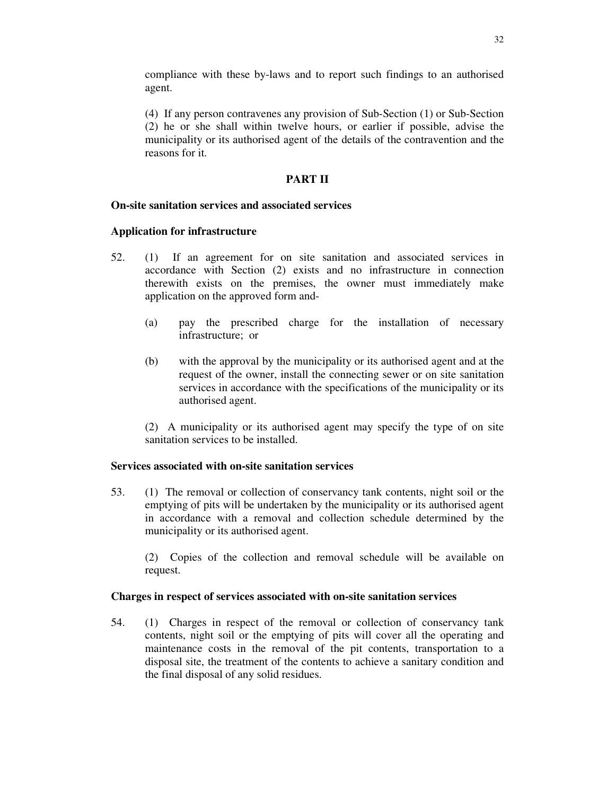compliance with these by-laws and to report such findings to an authorised agent.

(4) If any person contravenes any provision of Sub-Section (1) or Sub-Section (2) he or she shall within twelve hours, or earlier if possible, advise the municipality or its authorised agent of the details of the contravention and the reasons for it.

## **PART II**

# **On-site sanitation services and associated services**

## **Application for infrastructure**

- 52. (1) If an agreement for on site sanitation and associated services in accordance with Section (2) exists and no infrastructure in connection therewith exists on the premises, the owner must immediately make application on the approved form and-
	- (a) pay the prescribed charge for the installation of necessary infrastructure; or
	- (b) with the approval by the municipality or its authorised agent and at the request of the owner, install the connecting sewer or on site sanitation services in accordance with the specifications of the municipality or its authorised agent.

(2) A municipality or its authorised agent may specify the type of on site sanitation services to be installed.

### **Services associated with on-site sanitation services**

53. (1) The removal or collection of conservancy tank contents, night soil or the emptying of pits will be undertaken by the municipality or its authorised agent in accordance with a removal and collection schedule determined by the municipality or its authorised agent.

(2) Copies of the collection and removal schedule will be available on request.

### **Charges in respect of services associated with on-site sanitation services**

54. (1) Charges in respect of the removal or collection of conservancy tank contents, night soil or the emptying of pits will cover all the operating and maintenance costs in the removal of the pit contents, transportation to a disposal site, the treatment of the contents to achieve a sanitary condition and the final disposal of any solid residues.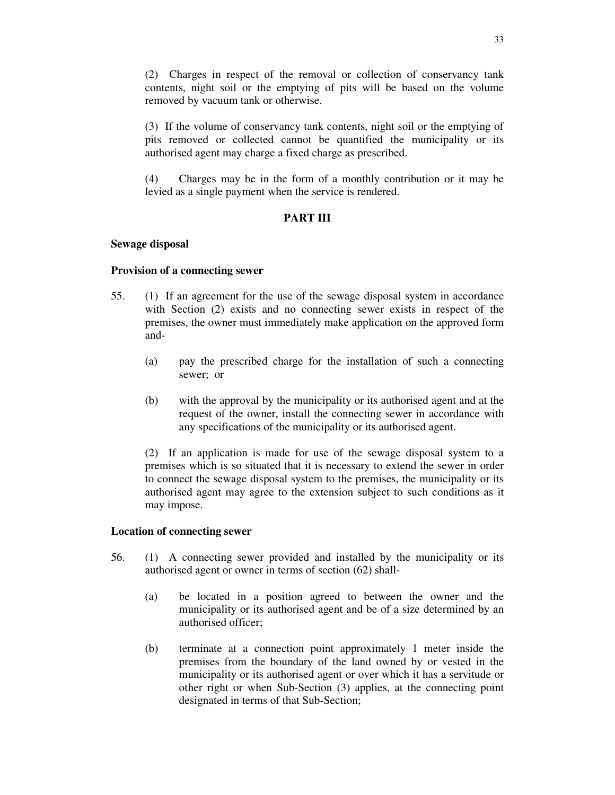(2) Charges in respect of the removal or collection of conservancy tank contents, night soil or the emptying of pits will be based on the volume removed by vacuum tank or otherwise.

(3) If the volume of conservancy tank contents, night soil or the emptying of pits removed or collected cannot be quantified the municipality or its authorised agent may charge a fixed charge as prescribed.

(4) Charges may be in the form of a monthly contribution or it may be levied as a single payment when the service is rendered.

## **PART III**

### **Sewage disposal**

## **Provision of a connecting sewer**

- 55. (1) If an agreement for the use of the sewage disposal system in accordance with Section (2) exists and no connecting sewer exists in respect of the premises, the owner must immediately make application on the approved form and-
	- (a) pay the prescribed charge for the installation of such a connecting sewer; or
	- (b) with the approval by the municipality or its authorised agent and at the request of the owner, install the connecting sewer in accordance with any specifications of the municipality or its authorised agent.

(2) If an application is made for use of the sewage disposal system to a premises which is so situated that it is necessary to extend the sewer in order to connect the sewage disposal system to the premises, the municipality or its authorised agent may agree to the extension subject to such conditions as it may impose.

### **Location of connecting sewer**

- 56. (1) A connecting sewer provided and installed by the municipality or its authorised agent or owner in terms of section (62) shall-
	- (a) be located in a position agreed to between the owner and the municipality or its authorised agent and be of a size determined by an authorised officer;
	- (b) terminate at a connection point approximately 1 meter inside the premises from the boundary of the land owned by or vested in the municipality or its authorised agent or over which it has a servitude or other right or when Sub-Section (3) applies, at the connecting point designated in terms of that Sub-Section;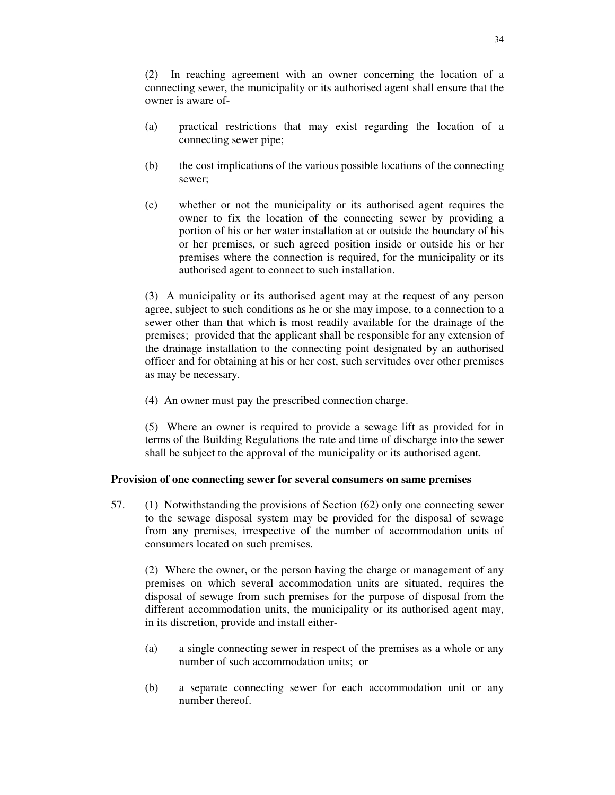(2) In reaching agreement with an owner concerning the location of a connecting sewer, the municipality or its authorised agent shall ensure that the owner is aware of-

- (a) practical restrictions that may exist regarding the location of a connecting sewer pipe;
- (b) the cost implications of the various possible locations of the connecting sewer;
- (c) whether or not the municipality or its authorised agent requires the owner to fix the location of the connecting sewer by providing a portion of his or her water installation at or outside the boundary of his or her premises, or such agreed position inside or outside his or her premises where the connection is required, for the municipality or its authorised agent to connect to such installation.

(3) A municipality or its authorised agent may at the request of any person agree, subject to such conditions as he or she may impose, to a connection to a sewer other than that which is most readily available for the drainage of the premises; provided that the applicant shall be responsible for any extension of the drainage installation to the connecting point designated by an authorised officer and for obtaining at his or her cost, such servitudes over other premises as may be necessary.

(4) An owner must pay the prescribed connection charge.

(5) Where an owner is required to provide a sewage lift as provided for in terms of the Building Regulations the rate and time of discharge into the sewer shall be subject to the approval of the municipality or its authorised agent.

### **Provision of one connecting sewer for several consumers on same premises**

57. (1) Notwithstanding the provisions of Section (62) only one connecting sewer to the sewage disposal system may be provided for the disposal of sewage from any premises, irrespective of the number of accommodation units of consumers located on such premises.

(2) Where the owner, or the person having the charge or management of any premises on which several accommodation units are situated, requires the disposal of sewage from such premises for the purpose of disposal from the different accommodation units, the municipality or its authorised agent may, in its discretion, provide and install either-

- (a) a single connecting sewer in respect of the premises as a whole or any number of such accommodation units; or
- (b) a separate connecting sewer for each accommodation unit or any number thereof.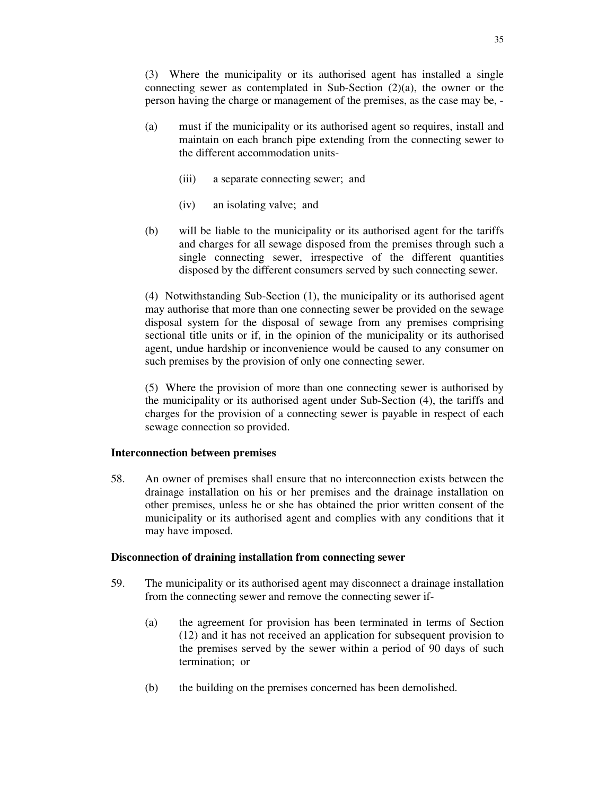(3) Where the municipality or its authorised agent has installed a single connecting sewer as contemplated in Sub-Section (2)(a), the owner or the person having the charge or management of the premises, as the case may be, -

- (a) must if the municipality or its authorised agent so requires, install and maintain on each branch pipe extending from the connecting sewer to the different accommodation units-
	- (iii) a separate connecting sewer; and
	- (iv) an isolating valve; and
- (b) will be liable to the municipality or its authorised agent for the tariffs and charges for all sewage disposed from the premises through such a single connecting sewer, irrespective of the different quantities disposed by the different consumers served by such connecting sewer.

(4) Notwithstanding Sub-Section (1), the municipality or its authorised agent may authorise that more than one connecting sewer be provided on the sewage disposal system for the disposal of sewage from any premises comprising sectional title units or if, in the opinion of the municipality or its authorised agent, undue hardship or inconvenience would be caused to any consumer on such premises by the provision of only one connecting sewer.

(5) Where the provision of more than one connecting sewer is authorised by the municipality or its authorised agent under Sub-Section (4), the tariffs and charges for the provision of a connecting sewer is payable in respect of each sewage connection so provided.

### **Interconnection between premises**

58. An owner of premises shall ensure that no interconnection exists between the drainage installation on his or her premises and the drainage installation on other premises, unless he or she has obtained the prior written consent of the municipality or its authorised agent and complies with any conditions that it may have imposed.

## **Disconnection of draining installation from connecting sewer**

- 59. The municipality or its authorised agent may disconnect a drainage installation from the connecting sewer and remove the connecting sewer if-
	- (a) the agreement for provision has been terminated in terms of Section (12) and it has not received an application for subsequent provision to the premises served by the sewer within a period of 90 days of such termination; or
	- (b) the building on the premises concerned has been demolished.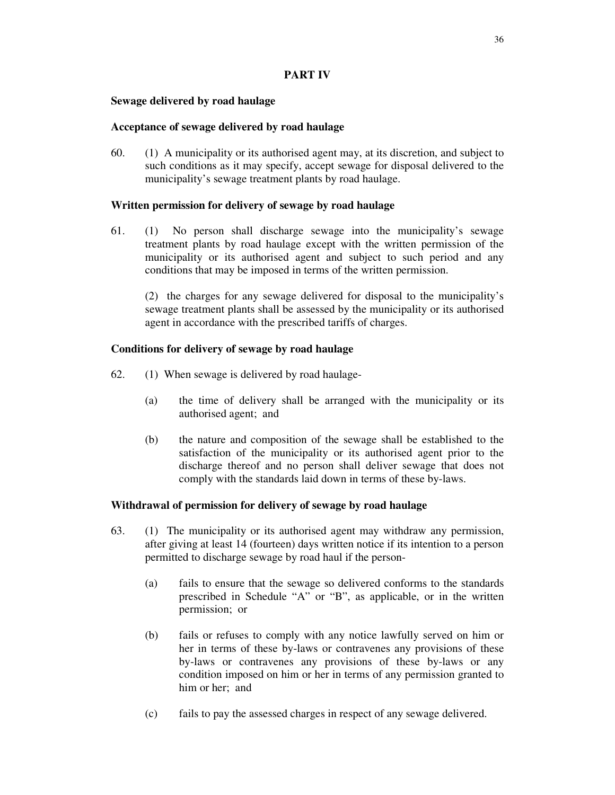# **PART IV**

## **Sewage delivered by road haulage**

## **Acceptance of sewage delivered by road haulage**

60. (1) A municipality or its authorised agent may, at its discretion, and subject to such conditions as it may specify, accept sewage for disposal delivered to the municipality's sewage treatment plants by road haulage.

## **Written permission for delivery of sewage by road haulage**

61. (1) No person shall discharge sewage into the municipality's sewage treatment plants by road haulage except with the written permission of the municipality or its authorised agent and subject to such period and any conditions that may be imposed in terms of the written permission.

(2) the charges for any sewage delivered for disposal to the municipality's sewage treatment plants shall be assessed by the municipality or its authorised agent in accordance with the prescribed tariffs of charges.

# **Conditions for delivery of sewage by road haulage**

- 62. (1) When sewage is delivered by road haulage-
	- (a) the time of delivery shall be arranged with the municipality or its authorised agent; and
	- (b) the nature and composition of the sewage shall be established to the satisfaction of the municipality or its authorised agent prior to the discharge thereof and no person shall deliver sewage that does not comply with the standards laid down in terms of these by-laws.

# **Withdrawal of permission for delivery of sewage by road haulage**

- 63. (1) The municipality or its authorised agent may withdraw any permission, after giving at least 14 (fourteen) days written notice if its intention to a person permitted to discharge sewage by road haul if the person-
	- (a) fails to ensure that the sewage so delivered conforms to the standards prescribed in Schedule "A" or "B", as applicable, or in the written permission; or
	- (b) fails or refuses to comply with any notice lawfully served on him or her in terms of these by-laws or contravenes any provisions of these by-laws or contravenes any provisions of these by-laws or any condition imposed on him or her in terms of any permission granted to him or her; and
	- (c) fails to pay the assessed charges in respect of any sewage delivered.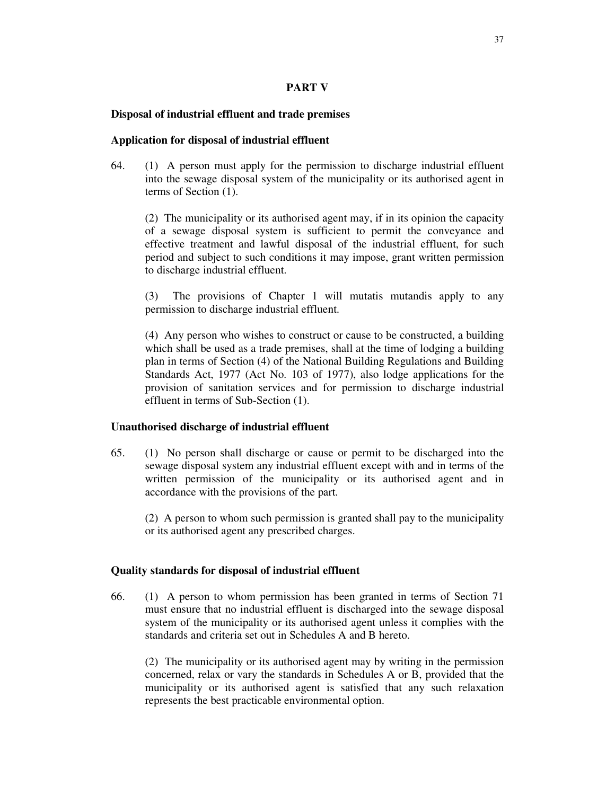## **PART V**

## **Disposal of industrial effluent and trade premises**

## **Application for disposal of industrial effluent**

64. (1) A person must apply for the permission to discharge industrial effluent into the sewage disposal system of the municipality or its authorised agent in terms of Section (1).

(2) The municipality or its authorised agent may, if in its opinion the capacity of a sewage disposal system is sufficient to permit the conveyance and effective treatment and lawful disposal of the industrial effluent, for such period and subject to such conditions it may impose, grant written permission to discharge industrial effluent.

(3) The provisions of Chapter 1 will mutatis mutandis apply to any permission to discharge industrial effluent.

(4) Any person who wishes to construct or cause to be constructed, a building which shall be used as a trade premises, shall at the time of lodging a building plan in terms of Section (4) of the National Building Regulations and Building Standards Act, 1977 (Act No. 103 of 1977), also lodge applications for the provision of sanitation services and for permission to discharge industrial effluent in terms of Sub-Section (1).

### **Unauthorised discharge of industrial effluent**

65. (1) No person shall discharge or cause or permit to be discharged into the sewage disposal system any industrial effluent except with and in terms of the written permission of the municipality or its authorised agent and in accordance with the provisions of the part.

(2) A person to whom such permission is granted shall pay to the municipality or its authorised agent any prescribed charges.

### **Quality standards for disposal of industrial effluent**

66. (1) A person to whom permission has been granted in terms of Section 71 must ensure that no industrial effluent is discharged into the sewage disposal system of the municipality or its authorised agent unless it complies with the standards and criteria set out in Schedules A and B hereto.

(2) The municipality or its authorised agent may by writing in the permission concerned, relax or vary the standards in Schedules A or B, provided that the municipality or its authorised agent is satisfied that any such relaxation represents the best practicable environmental option.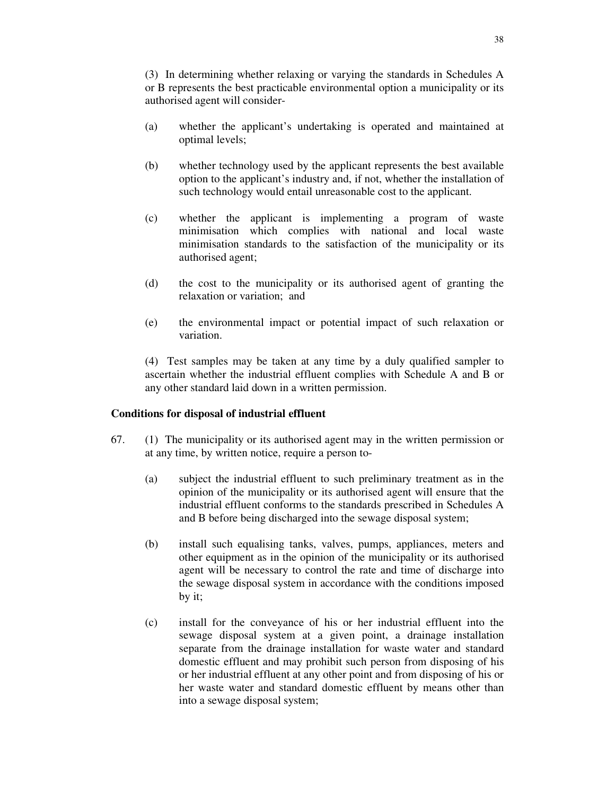(3) In determining whether relaxing or varying the standards in Schedules A or B represents the best practicable environmental option a municipality or its authorised agent will consider-

- (a) whether the applicant's undertaking is operated and maintained at optimal levels;
- (b) whether technology used by the applicant represents the best available option to the applicant's industry and, if not, whether the installation of such technology would entail unreasonable cost to the applicant.
- (c) whether the applicant is implementing a program of waste minimisation which complies with national and local waste minimisation standards to the satisfaction of the municipality or its authorised agent;
- (d) the cost to the municipality or its authorised agent of granting the relaxation or variation; and
- (e) the environmental impact or potential impact of such relaxation or variation.

(4) Test samples may be taken at any time by a duly qualified sampler to ascertain whether the industrial effluent complies with Schedule A and B or any other standard laid down in a written permission.

# **Conditions for disposal of industrial effluent**

- 67. (1) The municipality or its authorised agent may in the written permission or at any time, by written notice, require a person to-
	- (a) subject the industrial effluent to such preliminary treatment as in the opinion of the municipality or its authorised agent will ensure that the industrial effluent conforms to the standards prescribed in Schedules A and B before being discharged into the sewage disposal system;
	- (b) install such equalising tanks, valves, pumps, appliances, meters and other equipment as in the opinion of the municipality or its authorised agent will be necessary to control the rate and time of discharge into the sewage disposal system in accordance with the conditions imposed by it;
	- (c) install for the conveyance of his or her industrial effluent into the sewage disposal system at a given point, a drainage installation separate from the drainage installation for waste water and standard domestic effluent and may prohibit such person from disposing of his or her industrial effluent at any other point and from disposing of his or her waste water and standard domestic effluent by means other than into a sewage disposal system;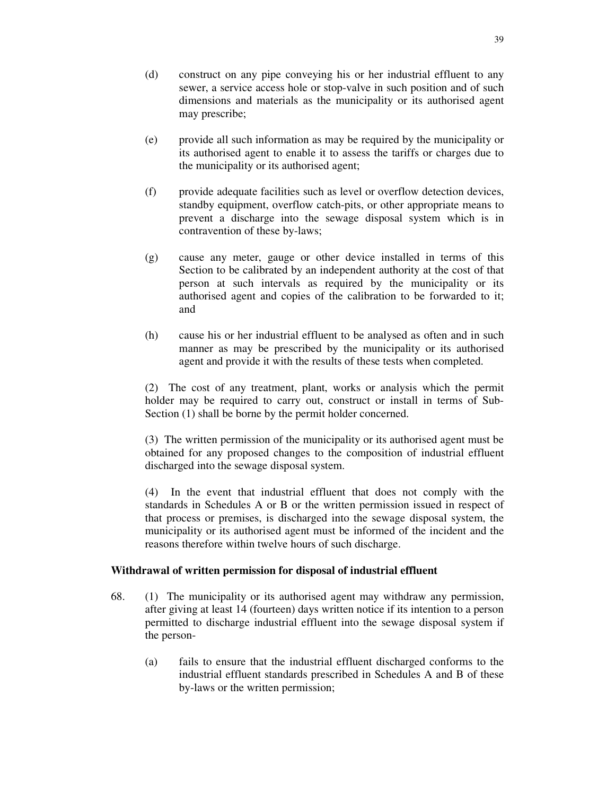- (e) provide all such information as may be required by the municipality or its authorised agent to enable it to assess the tariffs or charges due to the municipality or its authorised agent;
- (f) provide adequate facilities such as level or overflow detection devices, standby equipment, overflow catch-pits, or other appropriate means to prevent a discharge into the sewage disposal system which is in contravention of these by-laws;
- (g) cause any meter, gauge or other device installed in terms of this Section to be calibrated by an independent authority at the cost of that person at such intervals as required by the municipality or its authorised agent and copies of the calibration to be forwarded to it; and
- (h) cause his or her industrial effluent to be analysed as often and in such manner as may be prescribed by the municipality or its authorised agent and provide it with the results of these tests when completed.

(2) The cost of any treatment, plant, works or analysis which the permit holder may be required to carry out, construct or install in terms of Sub-Section (1) shall be borne by the permit holder concerned.

(3) The written permission of the municipality or its authorised agent must be obtained for any proposed changes to the composition of industrial effluent discharged into the sewage disposal system.

(4) In the event that industrial effluent that does not comply with the standards in Schedules A or B or the written permission issued in respect of that process or premises, is discharged into the sewage disposal system, the municipality or its authorised agent must be informed of the incident and the reasons therefore within twelve hours of such discharge.

# **Withdrawal of written permission for disposal of industrial effluent**

- 68. (1) The municipality or its authorised agent may withdraw any permission, after giving at least 14 (fourteen) days written notice if its intention to a person permitted to discharge industrial effluent into the sewage disposal system if the person-
	- (a) fails to ensure that the industrial effluent discharged conforms to the industrial effluent standards prescribed in Schedules A and B of these by-laws or the written permission;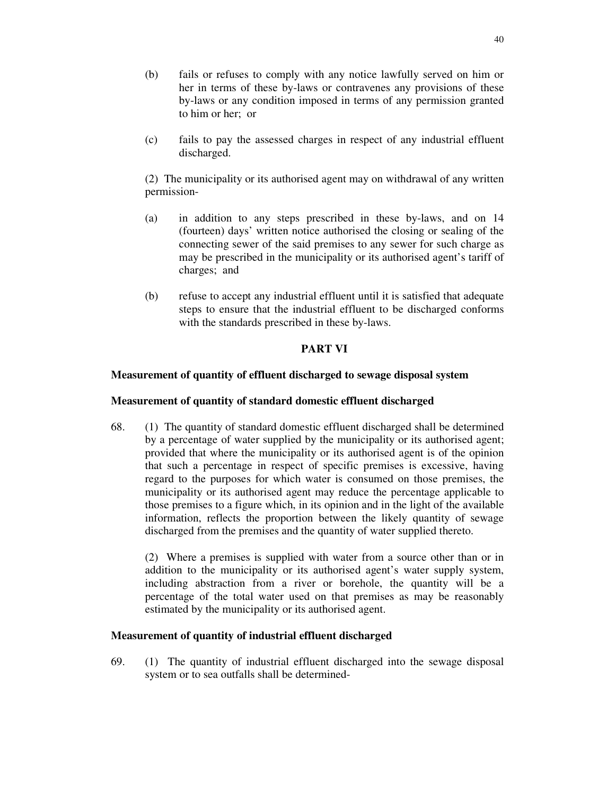- (b) fails or refuses to comply with any notice lawfully served on him or her in terms of these by-laws or contravenes any provisions of these by-laws or any condition imposed in terms of any permission granted to him or her; or
- (c) fails to pay the assessed charges in respect of any industrial effluent discharged.

(2) The municipality or its authorised agent may on withdrawal of any written permission-

- (a) in addition to any steps prescribed in these by-laws, and on 14 (fourteen) days' written notice authorised the closing or sealing of the connecting sewer of the said premises to any sewer for such charge as may be prescribed in the municipality or its authorised agent's tariff of charges; and
- (b) refuse to accept any industrial effluent until it is satisfied that adequate steps to ensure that the industrial effluent to be discharged conforms with the standards prescribed in these by-laws.

## **PART VI**

## **Measurement of quantity of effluent discharged to sewage disposal system**

### **Measurement of quantity of standard domestic effluent discharged**

68. (1) The quantity of standard domestic effluent discharged shall be determined by a percentage of water supplied by the municipality or its authorised agent; provided that where the municipality or its authorised agent is of the opinion that such a percentage in respect of specific premises is excessive, having regard to the purposes for which water is consumed on those premises, the municipality or its authorised agent may reduce the percentage applicable to those premises to a figure which, in its opinion and in the light of the available information, reflects the proportion between the likely quantity of sewage discharged from the premises and the quantity of water supplied thereto.

(2) Where a premises is supplied with water from a source other than or in addition to the municipality or its authorised agent's water supply system, including abstraction from a river or borehole, the quantity will be a percentage of the total water used on that premises as may be reasonably estimated by the municipality or its authorised agent.

### **Measurement of quantity of industrial effluent discharged**

69. (1) The quantity of industrial effluent discharged into the sewage disposal system or to sea outfalls shall be determined-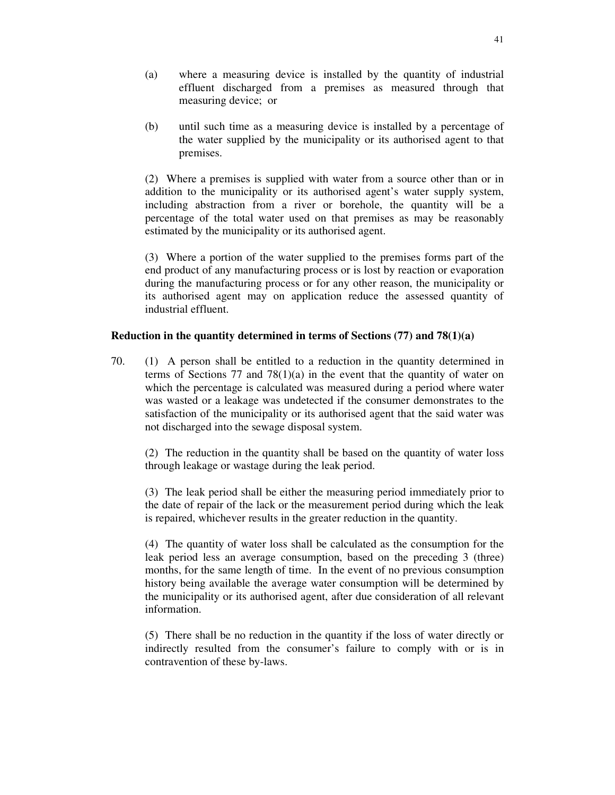- (a) where a measuring device is installed by the quantity of industrial effluent discharged from a premises as measured through that measuring device; or
- (b) until such time as a measuring device is installed by a percentage of the water supplied by the municipality or its authorised agent to that premises.

(2) Where a premises is supplied with water from a source other than or in addition to the municipality or its authorised agent's water supply system, including abstraction from a river or borehole, the quantity will be a percentage of the total water used on that premises as may be reasonably estimated by the municipality or its authorised agent.

(3) Where a portion of the water supplied to the premises forms part of the end product of any manufacturing process or is lost by reaction or evaporation during the manufacturing process or for any other reason, the municipality or its authorised agent may on application reduce the assessed quantity of industrial effluent.

## **Reduction in the quantity determined in terms of Sections (77) and 78(1)(a)**

70. (1) A person shall be entitled to a reduction in the quantity determined in terms of Sections 77 and  $78(1)(a)$  in the event that the quantity of water on which the percentage is calculated was measured during a period where water was wasted or a leakage was undetected if the consumer demonstrates to the satisfaction of the municipality or its authorised agent that the said water was not discharged into the sewage disposal system.

(2) The reduction in the quantity shall be based on the quantity of water loss through leakage or wastage during the leak period.

(3) The leak period shall be either the measuring period immediately prior to the date of repair of the lack or the measurement period during which the leak is repaired, whichever results in the greater reduction in the quantity.

(4) The quantity of water loss shall be calculated as the consumption for the leak period less an average consumption, based on the preceding 3 (three) months, for the same length of time. In the event of no previous consumption history being available the average water consumption will be determined by the municipality or its authorised agent, after due consideration of all relevant information.

(5) There shall be no reduction in the quantity if the loss of water directly or indirectly resulted from the consumer's failure to comply with or is in contravention of these by-laws.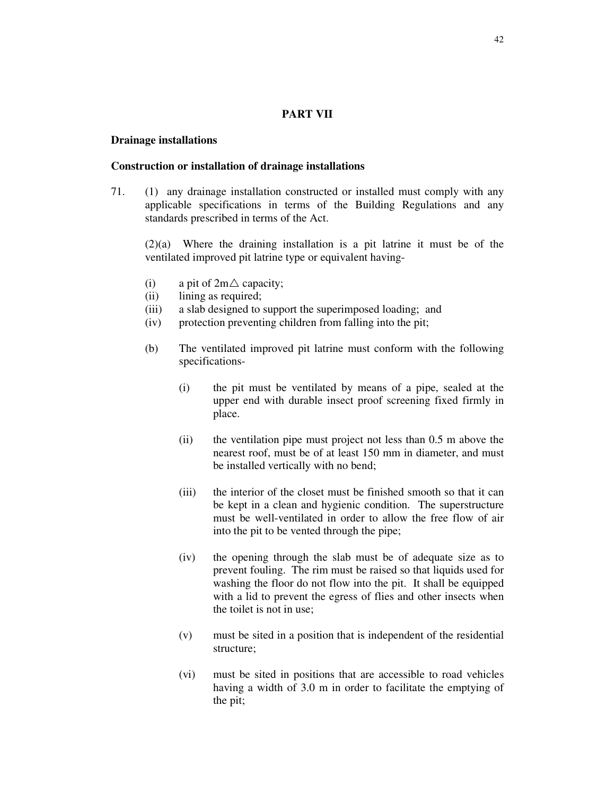### **PART VII**

#### **Drainage installations**

#### **Construction or installation of drainage installations**

71. (1) any drainage installation constructed or installed must comply with any applicable specifications in terms of the Building Regulations and any standards prescribed in terms of the Act.

(2)(a) Where the draining installation is a pit latrine it must be of the ventilated improved pit latrine type or equivalent having-

- (i) a pit of  $2m\triangle$  capacity;
- (ii) lining as required;
- (iii) a slab designed to support the superimposed loading; and
- (iv) protection preventing children from falling into the pit;
- (b) The ventilated improved pit latrine must conform with the following specifications-
	- (i) the pit must be ventilated by means of a pipe, sealed at the upper end with durable insect proof screening fixed firmly in place.
	- (ii) the ventilation pipe must project not less than 0.5 m above the nearest roof, must be of at least 150 mm in diameter, and must be installed vertically with no bend;
	- (iii) the interior of the closet must be finished smooth so that it can be kept in a clean and hygienic condition. The superstructure must be well-ventilated in order to allow the free flow of air into the pit to be vented through the pipe;
	- (iv) the opening through the slab must be of adequate size as to prevent fouling. The rim must be raised so that liquids used for washing the floor do not flow into the pit. It shall be equipped with a lid to prevent the egress of flies and other insects when the toilet is not in use;
	- (v) must be sited in a position that is independent of the residential structure;
	- (vi) must be sited in positions that are accessible to road vehicles having a width of 3.0 m in order to facilitate the emptying of the pit;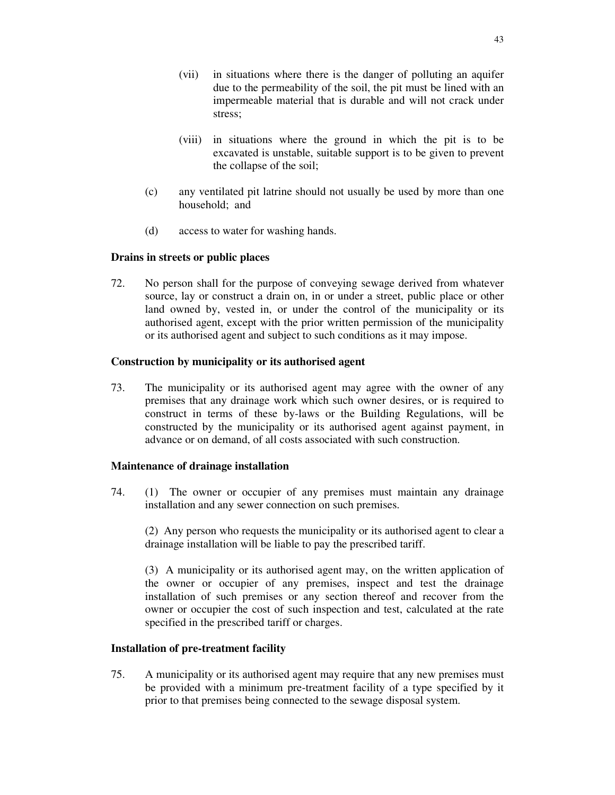- (vii) in situations where there is the danger of polluting an aquifer due to the permeability of the soil, the pit must be lined with an impermeable material that is durable and will not crack under stress;
- (viii) in situations where the ground in which the pit is to be excavated is unstable, suitable support is to be given to prevent the collapse of the soil;
- (c) any ventilated pit latrine should not usually be used by more than one household; and
- (d) access to water for washing hands.

## **Drains in streets or public places**

72. No person shall for the purpose of conveying sewage derived from whatever source, lay or construct a drain on, in or under a street, public place or other land owned by, vested in, or under the control of the municipality or its authorised agent, except with the prior written permission of the municipality or its authorised agent and subject to such conditions as it may impose.

## **Construction by municipality or its authorised agent**

73. The municipality or its authorised agent may agree with the owner of any premises that any drainage work which such owner desires, or is required to construct in terms of these by-laws or the Building Regulations, will be constructed by the municipality or its authorised agent against payment, in advance or on demand, of all costs associated with such construction.

### **Maintenance of drainage installation**

74. (1) The owner or occupier of any premises must maintain any drainage installation and any sewer connection on such premises.

(2) Any person who requests the municipality or its authorised agent to clear a drainage installation will be liable to pay the prescribed tariff.

(3) A municipality or its authorised agent may, on the written application of the owner or occupier of any premises, inspect and test the drainage installation of such premises or any section thereof and recover from the owner or occupier the cost of such inspection and test, calculated at the rate specified in the prescribed tariff or charges.

### **Installation of pre-treatment facility**

75. A municipality or its authorised agent may require that any new premises must be provided with a minimum pre-treatment facility of a type specified by it prior to that premises being connected to the sewage disposal system.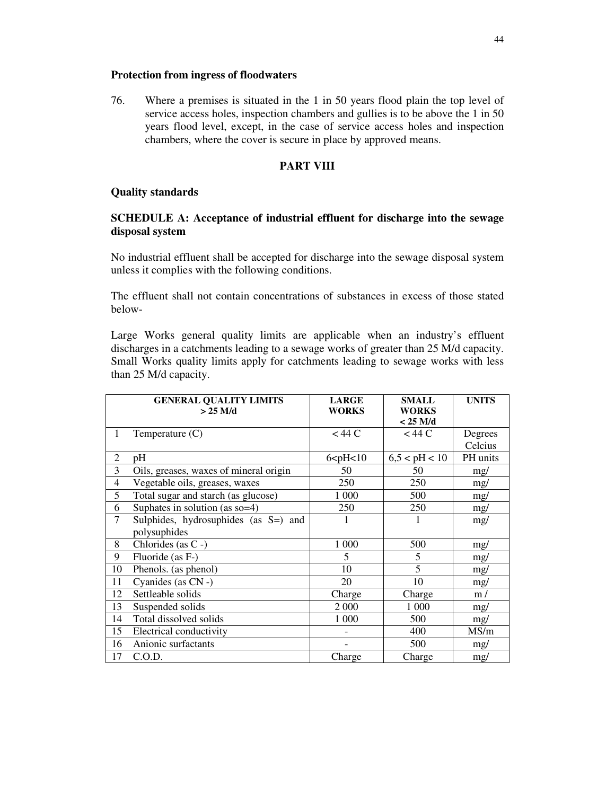## **Protection from ingress of floodwaters**

76. Where a premises is situated in the 1 in 50 years flood plain the top level of service access holes, inspection chambers and gullies is to be above the 1 in 50 years flood level, except, in the case of service access holes and inspection chambers, where the cover is secure in place by approved means.

# **PART VIII**

## **Quality standards**

# **SCHEDULE A: Acceptance of industrial effluent for discharge into the sewage disposal system**

No industrial effluent shall be accepted for discharge into the sewage disposal system unless it complies with the following conditions.

The effluent shall not contain concentrations of substances in excess of those stated below-

Large Works general quality limits are applicable when an industry's effluent discharges in a catchments leading to a sewage works of greater than 25 M/d capacity. Small Works quality limits apply for catchments leading to sewage works with less than 25 M/d capacity.

|                | <b>GENERAL QUALITY LIMITS</b><br>$>$ 25 M/d | <b>LARGE</b><br><b>WORKS</b>   | <b>SMALL</b><br><b>WORKS</b> | <b>UNITS</b> |
|----------------|---------------------------------------------|--------------------------------|------------------------------|--------------|
|                |                                             |                                | $< 25$ M/d                   |              |
| 1              | Temperature $(C)$                           | $<$ 44 C                       | $<$ 44 C                     | Degrees      |
|                |                                             |                                |                              | Celcius      |
| $\overline{2}$ | pH                                          | $6$ <p<math>H &lt; 10</p<math> | 6,5 < pH < 10                | PH units     |
| 3              | Oils, greases, waxes of mineral origin      | 50                             | 50                           | mg/          |
| 4              | Vegetable oils, greases, waxes              | 250                            | 250                          | mg/          |
| 5              | Total sugar and starch (as glucose)         | 1 000                          | 500                          | mg/          |
| 6              | Suphates in solution (as $so=4$ )           | 250                            | 250                          | mg/          |
| $\overline{7}$ | Sulphides, hydrosuphides (as S=) and        | 1                              | 1                            | mg/          |
|                | polysuphides                                |                                |                              |              |
| 8              | Chlorides (as C -)                          | 1 000                          | 500                          | mg/          |
| 9              | Fluoride (as F-)                            | 5                              | 5                            | mg/          |
| 10             | Phenols. (as phenol)                        | 10                             | 5                            | mg/          |
| 11             | Cyanides (as CN -)                          | 20                             | 10                           | mg/          |
| 12             | Settleable solids                           | Charge                         | Charge                       | m/           |
| 13             | Suspended solids                            | 2 000                          | 1 0 0 0                      | mg/          |
| 14             | Total dissolved solids                      | 1 000                          | 500                          | mg/          |
| 15             | Electrical conductivity                     |                                | 400                          | MS/m         |
| 16             | Anionic surfactants                         |                                | 500                          | mg/          |
| 17             | C.O.D.                                      | Charge                         | Charge                       | mg/          |